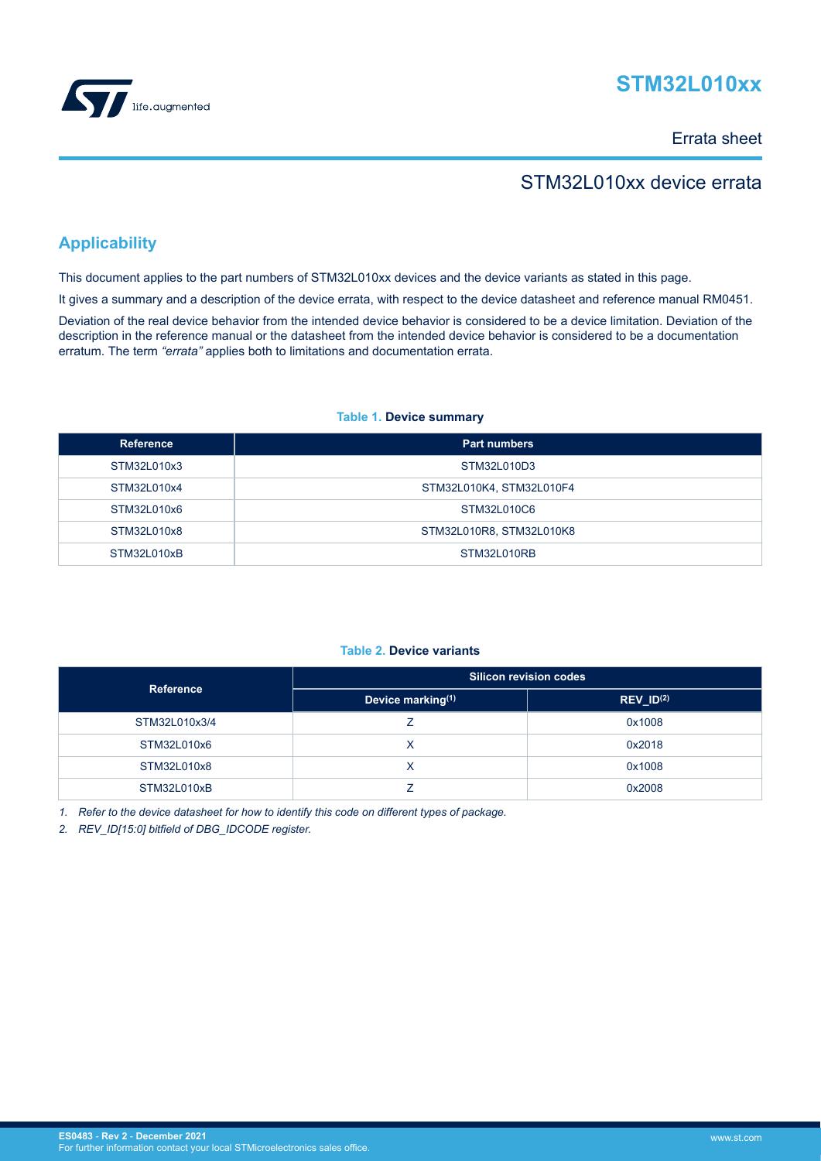

# **STM32L010xx**

Errata sheet

# STM32L010xx device errata

# **Applicability**

This document applies to the part numbers of STM32L010xx devices and the device variants as stated in this page.

It gives a summary and a description of the device errata, with respect to the device datasheet and reference manual RM0451.

Deviation of the real device behavior from the intended device behavior is considered to be a device limitation. Deviation of the description in the reference manual or the datasheet from the intended device behavior is considered to be a documentation erratum. The term *"errata"* applies both to limitations and documentation errata.

## **Table 1. Device summary**

| <b>Reference</b> | <b>Part numbers</b>      |
|------------------|--------------------------|
| STM32L010x3      | STM32L010D3              |
| STM32L010x4      | STM32L010K4, STM32L010F4 |
| STM32L010x6      | STM32L010C6              |
| STM32L010x8      | STM32L010R8, STM32L010K8 |
| STM32L010xB      | STM32L010RB              |

## **Table 2. Device variants**

| <b>Reference</b> | <b>Silicon revision codes</b> |                |  |  |  |
|------------------|-------------------------------|----------------|--|--|--|
|                  | Device marking(1)             | $REV_lD^{(2)}$ |  |  |  |
| STM32L010x3/4    |                               | 0x1008         |  |  |  |
| STM32L010x6      |                               | 0x2018         |  |  |  |
| STM32L010x8      |                               | 0x1008         |  |  |  |
| STM32L010xB      |                               | 0x2008         |  |  |  |

*1. Refer to the device datasheet for how to identify this code on different types of package.*

*2. REV\_ID[15:0] bitfield of DBG\_IDCODE register.*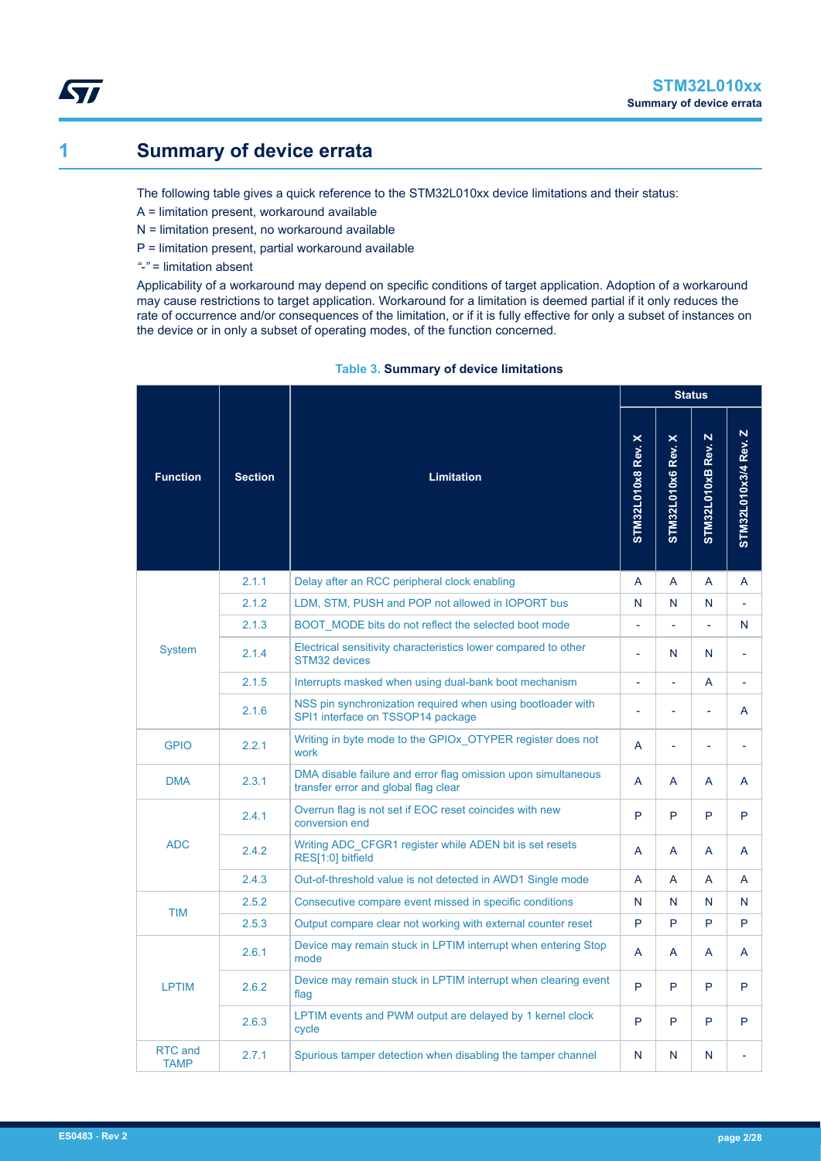# <span id="page-1-0"></span>**1 Summary of device errata**

The following table gives a quick reference to the STM32L010xx device limitations and their status:

- A = limitation present, workaround available
- N = limitation present, no workaround available
- P = limitation present, partial workaround available
- *"-"* = limitation absent

Applicability of a workaround may depend on specific conditions of target application. Adoption of a workaround may cause restrictions to target application. Workaround for a limitation is deemed partial if it only reduces the rate of occurrence and/or consequences of the limitation, or if it is fully effective for only a subset of instances on the device or in only a subset of operating modes, of the function concerned.

|                        |                |                                                                                                       | <b>Status</b>     |                    |                       |                          |  |
|------------------------|----------------|-------------------------------------------------------------------------------------------------------|-------------------|--------------------|-----------------------|--------------------------|--|
| <b>Function</b>        | <b>Section</b> | <b>Limitation</b>                                                                                     | STM32L010x8 Rev.X | STM32L010x6 Rev. X | N<br>STM32L010xB Rev. | STM32L010x3/4 Rev. Z     |  |
|                        | 2.1.1          | Delay after an RCC peripheral clock enabling                                                          | A                 | A                  | A                     | A                        |  |
|                        | 2.1.2          | LDM, STM, PUSH and POP not allowed in IOPORT bus                                                      | N                 | N                  | N                     |                          |  |
|                        | 2.1.3          | BOOT MODE bits do not reflect the selected boot mode                                                  |                   | L,                 |                       | N                        |  |
| <b>System</b>          | 2.1.4          | Electrical sensitivity characteristics lower compared to other<br><b>STM32 devices</b>                | $\overline{a}$    | N                  | N                     | $\overline{a}$           |  |
|                        | 2.1.5          | Interrupts masked when using dual-bank boot mechanism                                                 |                   | L                  | A                     |                          |  |
|                        | 2.1.6          | NSS pin synchronization required when using bootloader with<br>SPI1 interface on TSSOP14 package      | L                 | L,                 | ÷,                    | A                        |  |
| <b>GPIO</b>            | 2.2.1          | Writing in byte mode to the GPIOx OTYPER register does not<br>work                                    | A                 | L                  | L,                    | $\overline{\phantom{a}}$ |  |
| <b>DMA</b>             | 2.3.1          | DMA disable failure and error flag omission upon simultaneous<br>transfer error and global flag clear | A                 | A                  | A                     | A                        |  |
|                        | 2.4.1          | Overrun flag is not set if EOC reset coincides with new<br>conversion end                             | P                 | P                  | P                     | P                        |  |
| <b>ADC</b>             | 2.4.2          | Writing ADC CFGR1 register while ADEN bit is set resets<br>RES[1:0] bitfield                          | A                 | A                  | A                     | A                        |  |
|                        | 2.4.3          | Out-of-threshold value is not detected in AWD1 Single mode                                            | A                 | A                  | A                     | A                        |  |
| <b>TIM</b>             | 2.5.2          | Consecutive compare event missed in specific conditions                                               | N                 | N                  | N                     | N                        |  |
|                        | 2.5.3          | Output compare clear not working with external counter reset                                          | P                 | P                  | P                     | P                        |  |
|                        | 2.6.1          | Device may remain stuck in LPTIM interrupt when entering Stop<br>mode                                 | A                 | A                  | A                     | A                        |  |
| <b>LPTIM</b>           | 2.6.2          | Device may remain stuck in LPTIM interrupt when clearing event<br>flag                                | P                 | P                  | P                     | P                        |  |
|                        | 2.6.3          | LPTIM events and PWM output are delayed by 1 kernel clock<br>cycle                                    | P                 | P                  | P                     | P                        |  |
| RTC and<br><b>TAMP</b> | 2.7.1          | Spurious tamper detection when disabling the tamper channel                                           | N                 | N                  | N                     |                          |  |

## **Table 3. Summary of device limitations**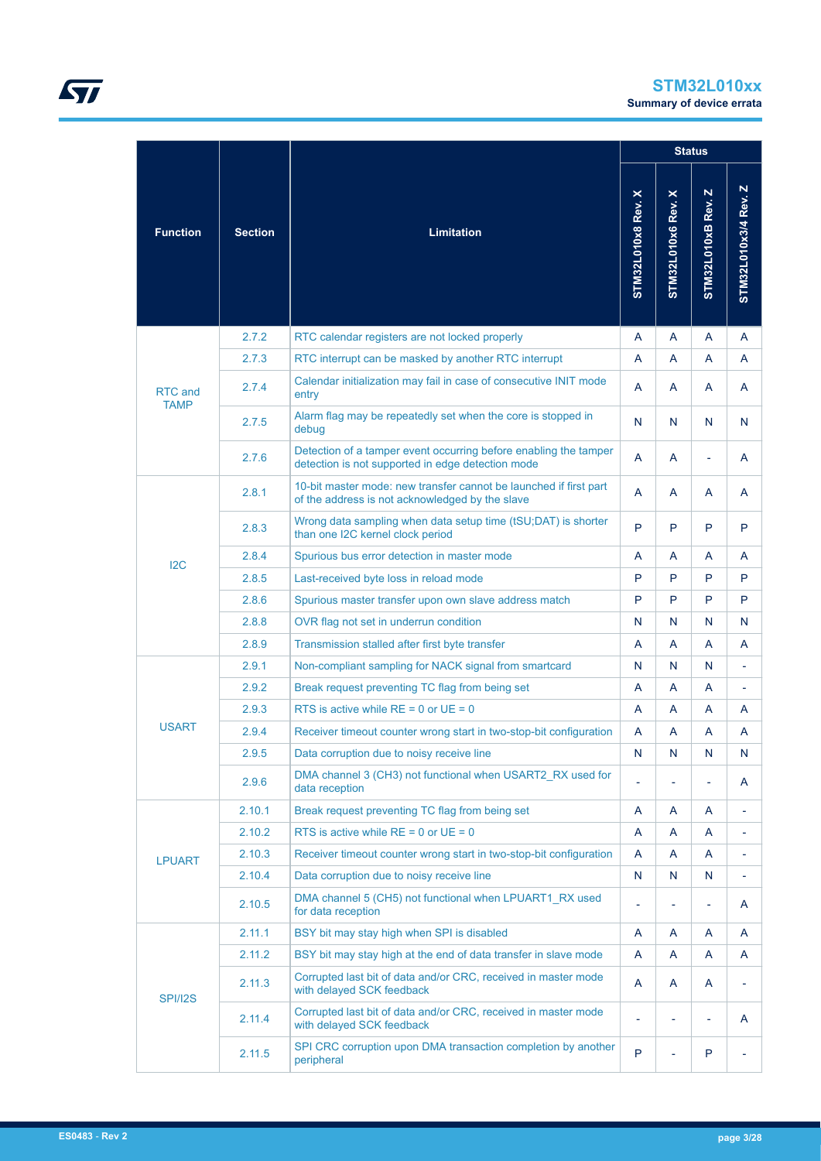|                        |                |                                                                                                                       |                       |                                           | <b>Status</b>                   |                      |
|------------------------|----------------|-----------------------------------------------------------------------------------------------------------------------|-----------------------|-------------------------------------------|---------------------------------|----------------------|
| <b>Function</b>        | <b>Section</b> | <b>Limitation</b>                                                                                                     | ×<br>STM32L010x8 Rev. | $\boldsymbol{\times}$<br>STM32L010x6 Rev. | $\mathbf N$<br>STM32L010xB Rev. | STM32L010x3/4 Rev. Z |
|                        | 2.7.2          | RTC calendar registers are not locked properly                                                                        | A                     | A                                         | A                               | A                    |
|                        | 2.7.3          | RTC interrupt can be masked by another RTC interrupt                                                                  | A                     | A                                         | A                               | A                    |
| RTC and<br><b>TAMP</b> | 2.7.4          | Calendar initialization may fail in case of consecutive INIT mode<br>entry                                            | A                     | A                                         | A                               | A                    |
|                        | 2.7.5          | Alarm flag may be repeatedly set when the core is stopped in<br>debug                                                 | N                     | N                                         | N                               | N                    |
|                        | 2.7.6          | Detection of a tamper event occurring before enabling the tamper<br>detection is not supported in edge detection mode | A                     | A                                         | $\overline{\phantom{0}}$        | A                    |
|                        | 2.8.1          | 10-bit master mode: new transfer cannot be launched if first part<br>of the address is not acknowledged by the slave  | A                     | A                                         | A                               | A                    |
|                        | 2.8.3          | Wrong data sampling when data setup time (tSU;DAT) is shorter<br>than one I2C kernel clock period                     | P                     | P                                         | P                               | P                    |
| 12C                    | 2.8.4          | Spurious bus error detection in master mode                                                                           | A                     | A                                         | A                               | A                    |
|                        | 2.8.5          | Last-received byte loss in reload mode                                                                                | P                     | P                                         | P                               | P                    |
|                        | 2.8.6          | Spurious master transfer upon own slave address match                                                                 | P                     | P                                         | P                               | P                    |
|                        | 2.8.8          | OVR flag not set in underrun condition                                                                                | N                     | N                                         | N                               | N                    |
|                        | 2.8.9          | Transmission stalled after first byte transfer                                                                        | A                     | A                                         | A                               | A                    |
|                        | 2.9.1          | Non-compliant sampling for NACK signal from smartcard                                                                 | N                     | N                                         | N                               |                      |
|                        | 2.9.2          | Break request preventing TC flag from being set                                                                       | A                     | A                                         | A                               | ÷,                   |
|                        | 2.9.3          | RTS is active while $RE = 0$ or $UE = 0$                                                                              | A                     | A                                         | A                               | A                    |
| <b>USART</b>           | 2.9.4          | Receiver timeout counter wrong start in two-stop-bit configuration                                                    | A                     | A                                         | A                               | A                    |
|                        | 2.9.5          | Data corruption due to noisy receive line                                                                             | $\mathsf{N}$          | $\mathsf{N}$                              | $\mathsf{N}$                    | $\mathsf{N}$         |
|                        | 2.9.6          | DMA channel 3 (CH3) not functional when USART2 RX used for<br>data reception                                          |                       | ÷,                                        | $\overline{\phantom{a}}$        | A                    |
|                        | 2.10.1         | Break request preventing TC flag from being set                                                                       | A                     | A                                         | Α                               | ÷,                   |
|                        | 2.10.2         | RTS is active while $RE = 0$ or $UE = 0$                                                                              | A                     | A                                         | A                               | ÷,                   |
| <b>LPUART</b>          | 2.10.3         | Receiver timeout counter wrong start in two-stop-bit configuration                                                    | A                     | A                                         | A                               | ÷,                   |
|                        | 2.10.4         | Data corruption due to noisy receive line                                                                             | N                     | N                                         | N                               | ä,                   |
|                        | 2.10.5         | DMA channel 5 (CH5) not functional when LPUART1 RX used<br>for data reception                                         |                       | ÷,                                        | ÷,                              | A                    |
|                        | 2.11.1         | BSY bit may stay high when SPI is disabled                                                                            | A                     | A                                         | Α                               | A                    |
|                        | 2.11.2         | BSY bit may stay high at the end of data transfer in slave mode                                                       | A                     | A                                         | A                               | A                    |
| SPI/I2S                | 2.11.3         | Corrupted last bit of data and/or CRC, received in master mode<br>with delayed SCK feedback                           | A                     | A                                         | A                               | ÷,                   |
|                        | 2.11.4         | Corrupted last bit of data and/or CRC, received in master mode<br>with delayed SCK feedback                           |                       | ÷                                         | $\overline{a}$                  | A                    |
|                        | 2.11.5         | SPI CRC corruption upon DMA transaction completion by another<br>peripheral                                           | P                     | ÷,                                        | P                               | ÷,                   |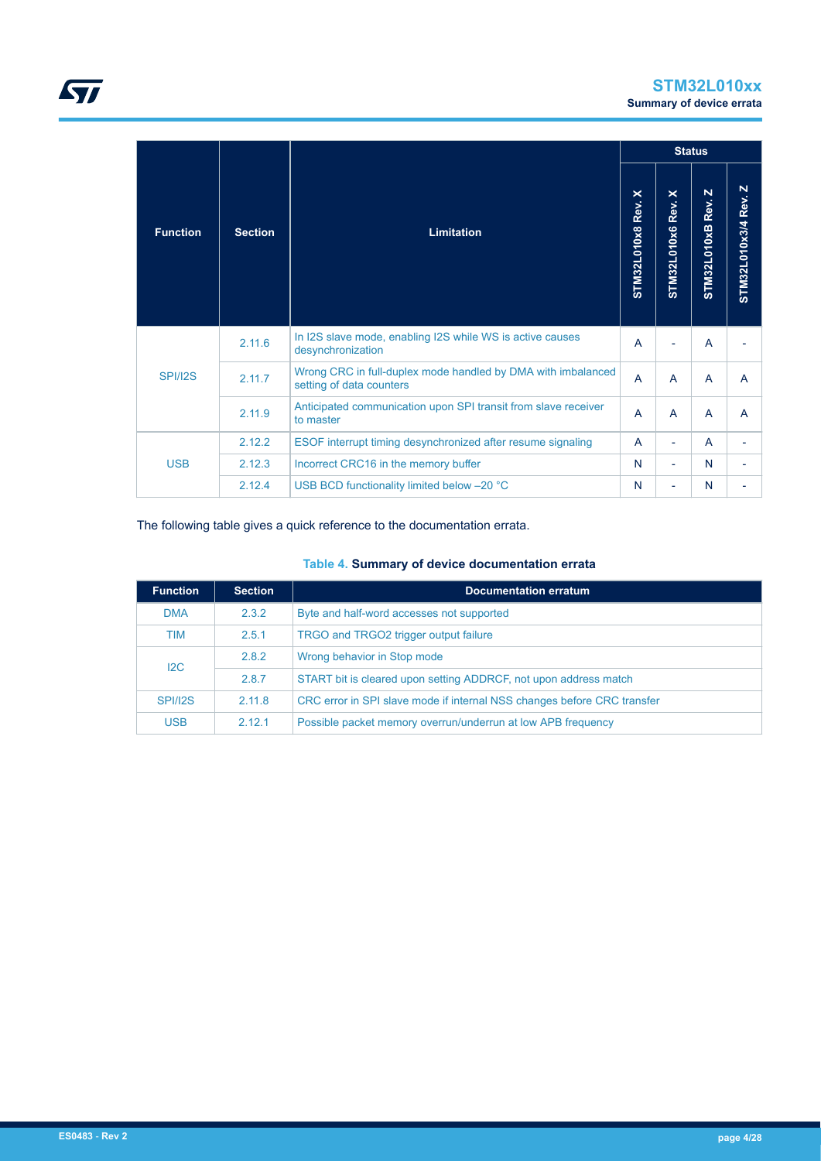

|                 |                |                                                                                          |                    |                          | <b>Status</b>                             |                          |
|-----------------|----------------|------------------------------------------------------------------------------------------|--------------------|--------------------------|-------------------------------------------|--------------------------|
| <b>Function</b> | <b>Section</b> | <b>Limitation</b>                                                                        | STM32L010x8 Rev. X | STM32L010x6 Rev. X       | $\mathbf N$<br>Rev.<br><b>STM32L010xB</b> | STM32L010x3/4 Rev. Z     |
|                 | 2.11.6         | In I2S slave mode, enabling I2S while WS is active causes<br>desynchronization           | $\overline{A}$     |                          | A                                         |                          |
| <b>SPI/I2S</b>  | 2.11.7         | Wrong CRC in full-duplex mode handled by DMA with imbalanced<br>setting of data counters | $\overline{A}$     | A                        | A                                         | $\mathsf{A}$             |
|                 | 2.11.9         | Anticipated communication upon SPI transit from slave receiver<br>to master              | $\overline{A}$     | $\overline{A}$           | A                                         | A                        |
| <b>USB</b>      | 2.12.2         | ESOF interrupt timing desynchronized after resume signaling                              | A                  | ٠                        | A                                         | ٠                        |
|                 | 2.12.3         | Incorrect CRC16 in the memory buffer                                                     | N                  | $\overline{\phantom{0}}$ | N                                         | $\overline{\phantom{a}}$ |
|                 | 2.12.4         | USB BCD functionality limited below -20 °C                                               | N                  | ٠                        | N                                         |                          |

## The following table gives a quick reference to the documentation errata.

## **Table 4. Summary of device documentation errata**

| <b>Function</b> | <b>Section</b> | <b>Documentation erratum</b>                                            |
|-----------------|----------------|-------------------------------------------------------------------------|
| <b>DMA</b>      | 2.3.2          | Byte and half-word accesses not supported                               |
| TIM             | 2.5.1          | TRGO and TRGO2 trigger output failure                                   |
| 12C             | 2.8.2          | Wrong behavior in Stop mode                                             |
|                 | 2.8.7          | START bit is cleared upon setting ADDRCF, not upon address match        |
| <b>SPI/I2S</b>  | 2.11.8         | CRC error in SPI slave mode if internal NSS changes before CRC transfer |
| <b>USB</b>      | 2.12.1         | Possible packet memory overrun/underrun at low APB frequency            |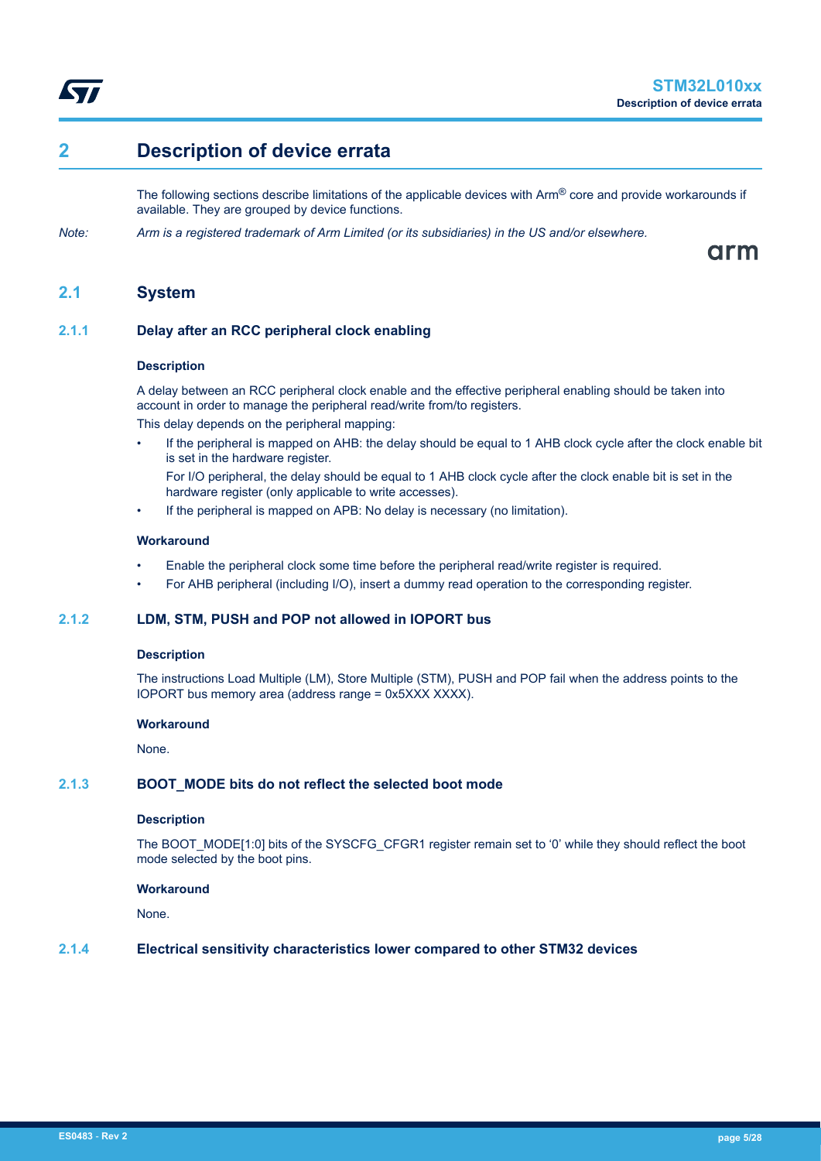<span id="page-4-0"></span>

# **2 Description of device errata**

The following sections describe limitations of the applicable devices with  $Arm^@$  core and provide workarounds if available. They are grouped by device functions.

*Note: Arm is a registered trademark of Arm Limited (or its subsidiaries) in the US and/or elsewhere.*

arm

## **2.1 System**

## **2.1.1 Delay after an RCC peripheral clock enabling**

#### **Description**

A delay between an RCC peripheral clock enable and the effective peripheral enabling should be taken into account in order to manage the peripheral read/write from/to registers.

This delay depends on the peripheral mapping:

- If the peripheral is mapped on AHB: the delay should be equal to 1 AHB clock cycle after the clock enable bit is set in the hardware register.
	- For I/O peripheral, the delay should be equal to 1 AHB clock cycle after the clock enable bit is set in the hardware register (only applicable to write accesses).
- If the peripheral is mapped on APB: No delay is necessary (no limitation).

## **Workaround**

- Enable the peripheral clock some time before the peripheral read/write register is required.
- For AHB peripheral (including I/O), insert a dummy read operation to the corresponding register.

## **2.1.2 LDM, STM, PUSH and POP not allowed in IOPORT bus**

### **Description**

The instructions Load Multiple (LM), Store Multiple (STM), PUSH and POP fail when the address points to the IOPORT bus memory area (address range = 0x5XXX XXXX).

#### **Workaround**

None.

### **2.1.3 BOOT\_MODE bits do not reflect the selected boot mode**

#### **Description**

The BOOT\_MODE[1:0] bits of the SYSCFG\_CFGR1 register remain set to '0' while they should reflect the boot mode selected by the boot pins.

#### **Workaround**

None.

## **2.1.4 Electrical sensitivity characteristics lower compared to other STM32 devices**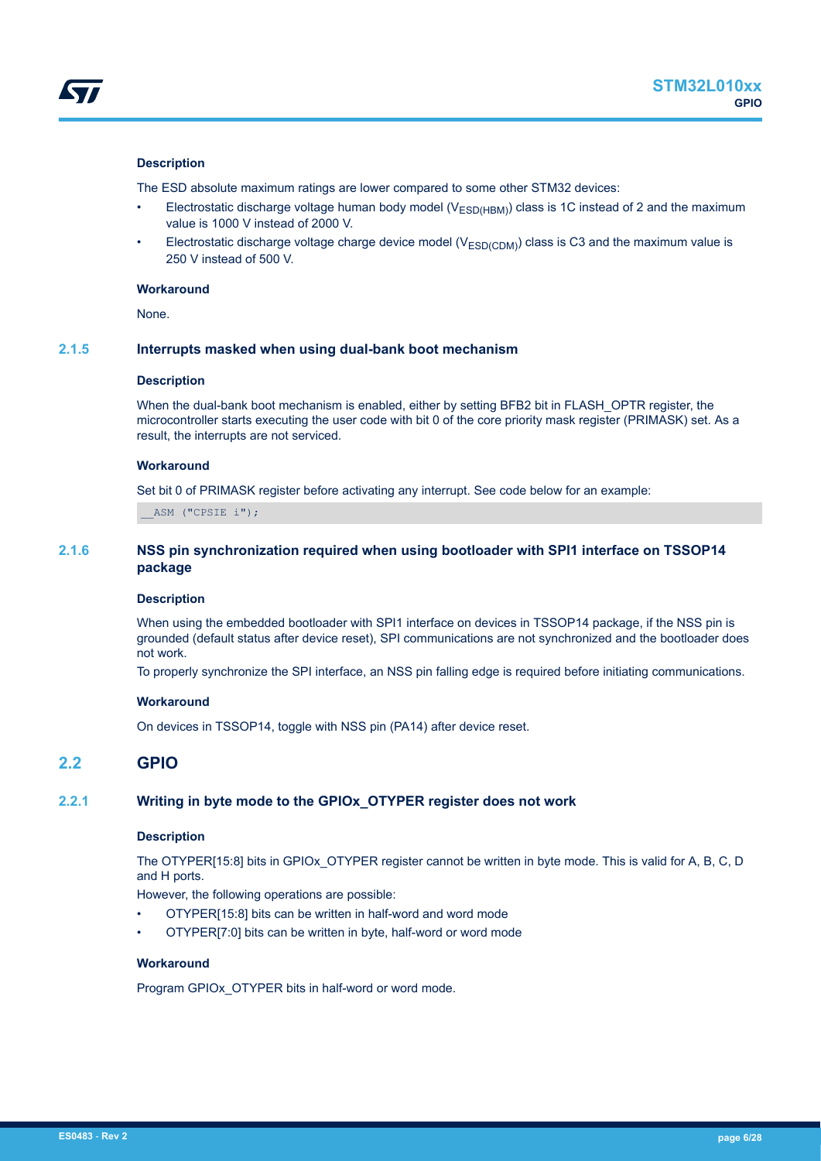<span id="page-5-0"></span>The ESD absolute maximum ratings are lower compared to some other STM32 devices:

- Electrostatic discharge voltage human body model ( $V_{ESD(HBM)}$ ) class is 1C instead of 2 and the maximum value is 1000 V instead of 2000 V.
- Electrostatic discharge voltage charge device model ( $V_{ESD(CDM)}$ ) class is C3 and the maximum value is 250 V instead of 500 V.

#### **Workaround**

None.

## **2.1.5 Interrupts masked when using dual-bank boot mechanism**

#### **Description**

When the dual-bank boot mechanism is enabled, either by setting BFB2 bit in FLASH\_OPTR register, the microcontroller starts executing the user code with bit 0 of the core priority mask register (PRIMASK) set. As a result, the interrupts are not serviced.

#### **Workaround**

Set bit 0 of PRIMASK register before activating any interrupt. See code below for an example:

\_\_ASM ("CPSIE i");

## **2.1.6 NSS pin synchronization required when using bootloader with SPI1 interface on TSSOP14 package**

## **Description**

When using the embedded bootloader with SPI1 interface on devices in TSSOP14 package, if the NSS pin is grounded (default status after device reset), SPI communications are not synchronized and the bootloader does not work.

To properly synchronize the SPI interface, an NSS pin falling edge is required before initiating communications.

#### **Workaround**

On devices in TSSOP14, toggle with NSS pin (PA14) after device reset.

# **2.2 GPIO**

## **2.2.1 Writing in byte mode to the GPIOx\_OTYPER register does not work**

## **Description**

The OTYPER[15:8] bits in GPIOx\_OTYPER register cannot be written in byte mode. This is valid for A, B, C, D and H ports.

However, the following operations are possible:

- OTYPER[15:8] bits can be written in half-word and word mode
- OTYPER[7:0] bits can be written in byte, half-word or word mode

#### **Workaround**

Program GPIOx\_OTYPER bits in half-word or word mode.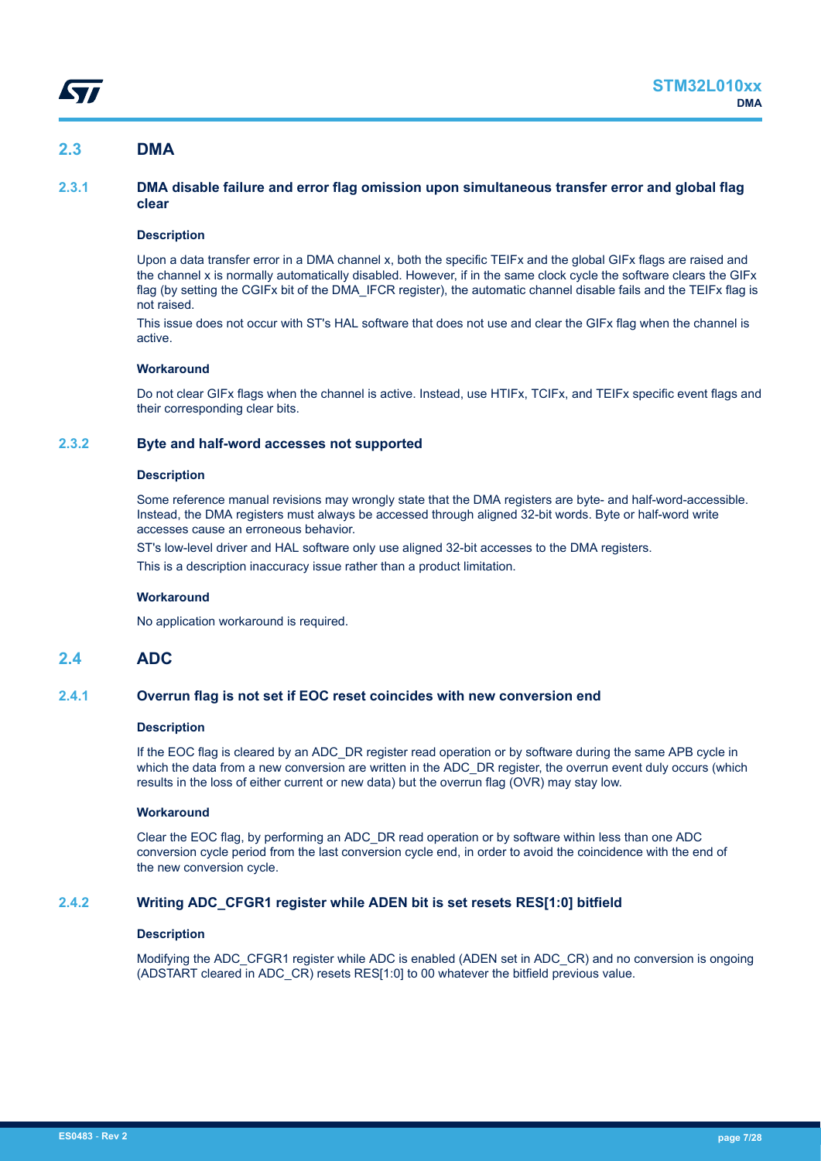# <span id="page-6-0"></span>**2.3 DMA**

## **2.3.1 DMA disable failure and error flag omission upon simultaneous transfer error and global flag clear**

## **Description**

Upon a data transfer error in a DMA channel x, both the specific TEIFx and the global GIFx flags are raised and the channel x is normally automatically disabled. However, if in the same clock cycle the software clears the GIFx flag (by setting the CGIFx bit of the DMA\_IFCR register), the automatic channel disable fails and the TEIFx flag is not raised.

This issue does not occur with ST's HAL software that does not use and clear the GIFx flag when the channel is active.

### **Workaround**

Do not clear GIFx flags when the channel is active. Instead, use HTIFx, TCIFx, and TEIFx specific event flags and their corresponding clear bits.

## **2.3.2 Byte and half-word accesses not supported**

#### **Description**

Some reference manual revisions may wrongly state that the DMA registers are byte- and half-word-accessible. Instead, the DMA registers must always be accessed through aligned 32-bit words. Byte or half-word write accesses cause an erroneous behavior.

ST's low-level driver and HAL software only use aligned 32-bit accesses to the DMA registers.

This is a description inaccuracy issue rather than a product limitation.

### **Workaround**

No application workaround is required.

## **2.4 ADC**

#### **2.4.1 Overrun flag is not set if EOC reset coincides with new conversion end**

#### **Description**

If the EOC flag is cleared by an ADC\_DR register read operation or by software during the same APB cycle in which the data from a new conversion are written in the ADC\_DR register, the overrun event duly occurs (which results in the loss of either current or new data) but the overrun flag (OVR) may stay low.

#### **Workaround**

Clear the EOC flag, by performing an ADC\_DR read operation or by software within less than one ADC conversion cycle period from the last conversion cycle end, in order to avoid the coincidence with the end of the new conversion cycle.

## **2.4.2 Writing ADC\_CFGR1 register while ADEN bit is set resets RES[1:0] bitfield**

## **Description**

Modifying the ADC\_CFGR1 register while ADC is enabled (ADEN set in ADC\_CR) and no conversion is ongoing (ADSTART cleared in ADC\_CR) resets RES[1:0] to 00 whatever the bitfield previous value.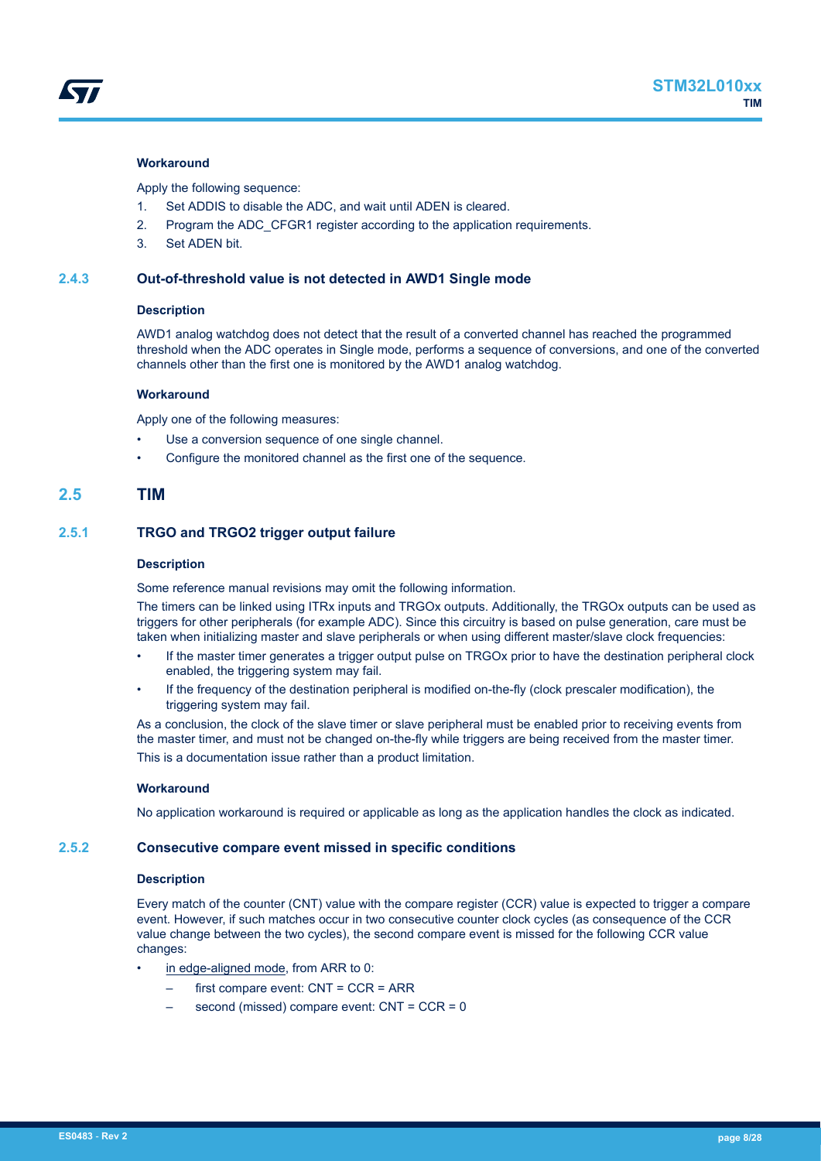<span id="page-7-0"></span>

#### **Workaround**

Apply the following sequence:

- 1. Set ADDIS to disable the ADC, and wait until ADEN is cleared.
- 2. Program the ADC\_CFGR1 register according to the application requirements.
- 3. Set ADEN bit.

#### **2.4.3 Out-of-threshold value is not detected in AWD1 Single mode**

#### **Description**

AWD1 analog watchdog does not detect that the result of a converted channel has reached the programmed threshold when the ADC operates in Single mode, performs a sequence of conversions, and one of the converted channels other than the first one is monitored by the AWD1 analog watchdog.

#### **Workaround**

Apply one of the following measures:

- Use a conversion sequence of one single channel.
- Configure the monitored channel as the first one of the sequence.

## **2.5 TIM**

## **2.5.1 TRGO and TRGO2 trigger output failure**

#### **Description**

Some reference manual revisions may omit the following information.

The timers can be linked using ITRx inputs and TRGOx outputs. Additionally, the TRGOx outputs can be used as triggers for other peripherals (for example ADC). Since this circuitry is based on pulse generation, care must be taken when initializing master and slave peripherals or when using different master/slave clock frequencies:

- If the master timer generates a trigger output pulse on TRGOx prior to have the destination peripheral clock enabled, the triggering system may fail.
- If the frequency of the destination peripheral is modified on-the-fly (clock prescaler modification), the triggering system may fail.

As a conclusion, the clock of the slave timer or slave peripheral must be enabled prior to receiving events from the master timer, and must not be changed on-the-fly while triggers are being received from the master timer. This is a documentation issue rather than a product limitation.

#### **Workaround**

No application workaround is required or applicable as long as the application handles the clock as indicated.

### **2.5.2 Consecutive compare event missed in specific conditions**

#### **Description**

Every match of the counter (CNT) value with the compare register (CCR) value is expected to trigger a compare event. However, if such matches occur in two consecutive counter clock cycles (as consequence of the CCR value change between the two cycles), the second compare event is missed for the following CCR value changes:

- in edge-aligned mode, from ARR to 0:
	- first compare event: CNT = CCR = ARR
	- second (missed) compare event: CNT = CCR = 0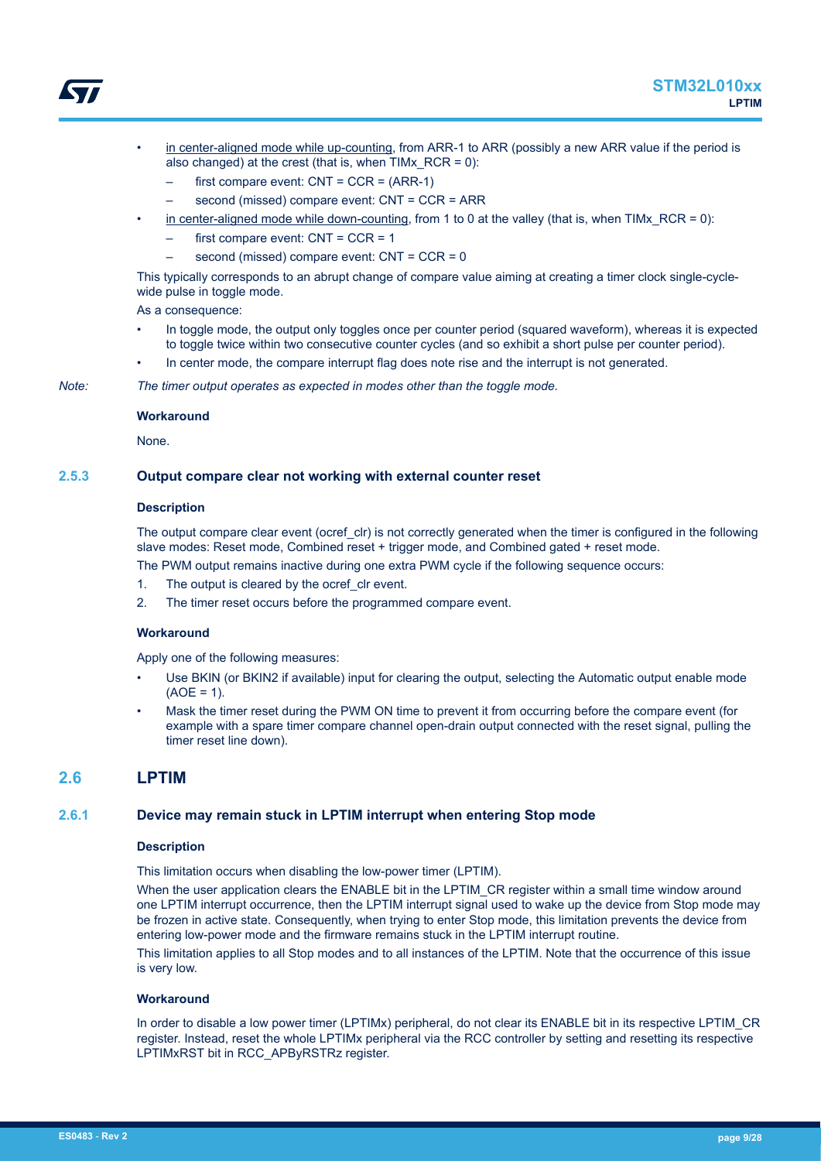

<span id="page-8-0"></span>

- in center-aligned mode while up-counting, from ARR-1 to ARR (possibly a new ARR value if the period is also changed) at the crest (that is, when  $TIMx$  RCR = 0):
	- first compare event:  $CNT = CCR = (ARR-1)$
	- second (missed) compare event: CNT = CCR = ARR
- in center-aligned mode while down-counting, from 1 to 0 at the valley (that is, when TIMx\_RCR = 0):
	- first compare event:  $CNT = CCR = 1$
	- second (missed) compare event: CNT = CCR = 0

This typically corresponds to an abrupt change of compare value aiming at creating a timer clock single-cyclewide pulse in toggle mode.

As a consequence:

- In toggle mode, the output only toggles once per counter period (squared waveform), whereas it is expected to toggle twice within two consecutive counter cycles (and so exhibit a short pulse per counter period).
- In center mode, the compare interrupt flag does note rise and the interrupt is not generated.

*Note: The timer output operates as expected in modes other than the toggle mode.*

#### **Workaround**

None.

## **2.5.3 Output compare clear not working with external counter reset**

## **Description**

The output compare clear event (ocref clr) is not correctly generated when the timer is configured in the following slave modes: Reset mode, Combined reset + trigger mode, and Combined gated + reset mode.

The PWM output remains inactive during one extra PWM cycle if the following sequence occurs:

- 1. The output is cleared by the ocref clr event.
- 2. The timer reset occurs before the programmed compare event.

#### **Workaround**

Apply one of the following measures:

- Use BKIN (or BKIN2 if available) input for clearing the output, selecting the Automatic output enable mode  $(AOE = 1)$ .
- Mask the timer reset during the PWM ON time to prevent it from occurring before the compare event (for example with a spare timer compare channel open-drain output connected with the reset signal, pulling the timer reset line down).

## **2.6 LPTIM**

#### **2.6.1 Device may remain stuck in LPTIM interrupt when entering Stop mode**

#### **Description**

This limitation occurs when disabling the low-power timer (LPTIM).

When the user application clears the ENABLE bit in the LPTIM CR register within a small time window around one LPTIM interrupt occurrence, then the LPTIM interrupt signal used to wake up the device from Stop mode may be frozen in active state. Consequently, when trying to enter Stop mode, this limitation prevents the device from entering low-power mode and the firmware remains stuck in the LPTIM interrupt routine.

This limitation applies to all Stop modes and to all instances of the LPTIM. Note that the occurrence of this issue is very low.

#### **Workaround**

In order to disable a low power timer (LPTIMx) peripheral, do not clear its ENABLE bit in its respective LPTIM\_CR register. Instead, reset the whole LPTIMx peripheral via the RCC controller by setting and resetting its respective LPTIMxRST bit in RCC\_APByRSTRz register.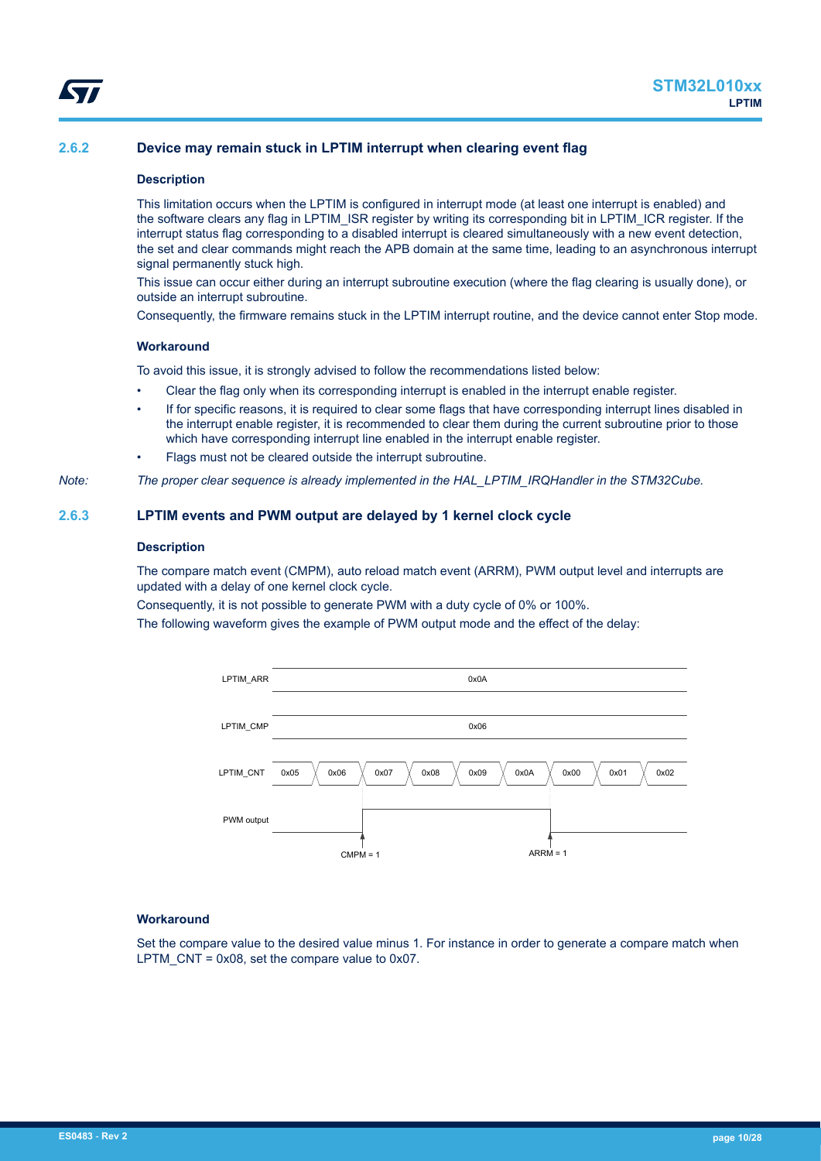<span id="page-9-0"></span>

## **2.6.2 Device may remain stuck in LPTIM interrupt when clearing event flag**

#### **Description**

This limitation occurs when the LPTIM is configured in interrupt mode (at least one interrupt is enabled) and the software clears any flag in LPTIM\_ISR register by writing its corresponding bit in LPTIM\_ICR register. If the interrupt status flag corresponding to a disabled interrupt is cleared simultaneously with a new event detection, the set and clear commands might reach the APB domain at the same time, leading to an asynchronous interrupt signal permanently stuck high.

This issue can occur either during an interrupt subroutine execution (where the flag clearing is usually done), or outside an interrupt subroutine.

Consequently, the firmware remains stuck in the LPTIM interrupt routine, and the device cannot enter Stop mode.

#### **Workaround**

To avoid this issue, it is strongly advised to follow the recommendations listed below:

- Clear the flag only when its corresponding interrupt is enabled in the interrupt enable register.
- If for specific reasons, it is required to clear some flags that have corresponding interrupt lines disabled in the interrupt enable register, it is recommended to clear them during the current subroutine prior to those which have corresponding interrupt line enabled in the interrupt enable register.

Flags must not be cleared outside the interrupt subroutine.

*Note: The proper clear sequence is already implemented in the HAL\_LPTIM\_IRQHandler in the STM32Cube.*

## **2.6.3 LPTIM events and PWM output are delayed by 1 kernel clock cycle**

#### **Description**

The compare match event (CMPM), auto reload match event (ARRM), PWM output level and interrupts are updated with a delay of one kernel clock cycle.

Consequently, it is not possible to generate PWM with a duty cycle of 0% or 100%.

The following waveform gives the example of PWM output mode and the effect of the delay:



#### **Workaround**

Set the compare value to the desired value minus 1. For instance in order to generate a compare match when LPTM  $CNT = 0x08$ , set the compare value to 0x07.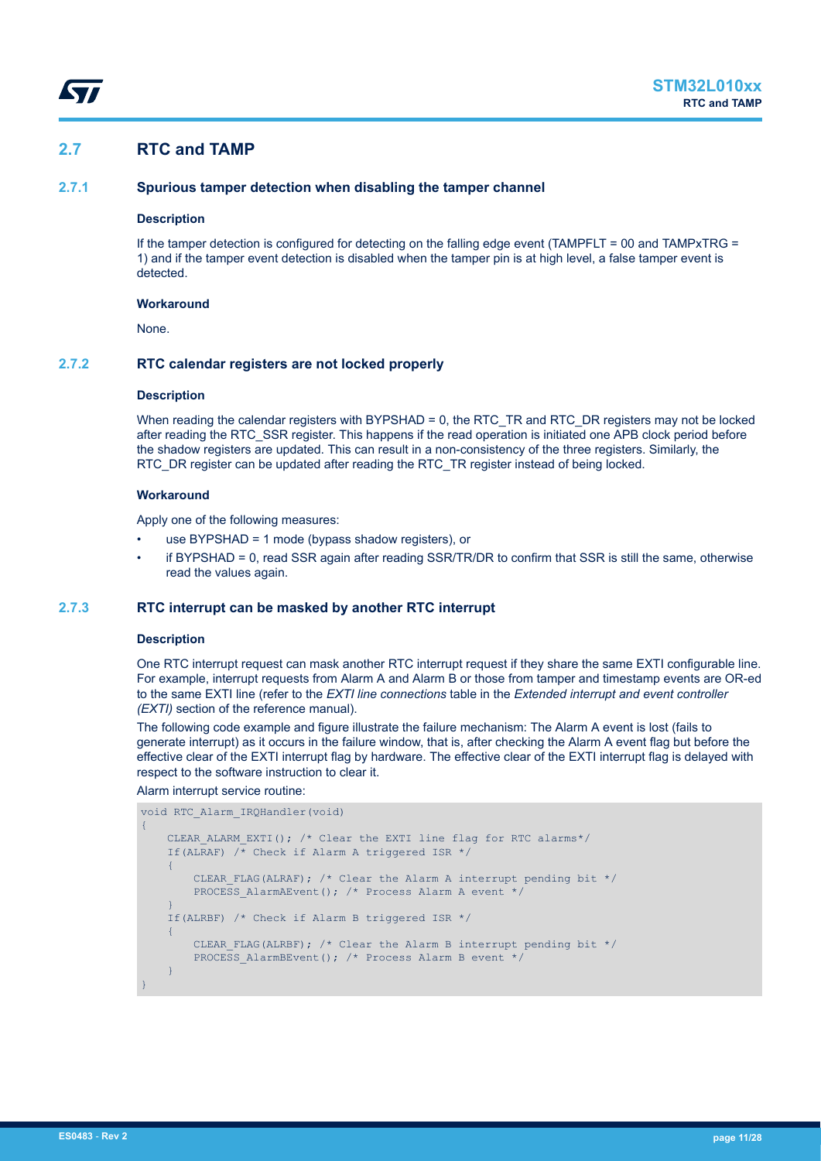# <span id="page-10-0"></span>**2.7 RTC and TAMP**

## **2.7.1 Spurious tamper detection when disabling the tamper channel**

#### **Description**

If the tamper detection is configured for detecting on the falling edge event (TAMPFLT = 00 and TAMPxTRG = 1) and if the tamper event detection is disabled when the tamper pin is at high level, a false tamper event is detected.

## **Workaround**

None.

## **2.7.2 RTC calendar registers are not locked properly**

#### **Description**

When reading the calendar registers with BYPSHAD = 0, the RTC\_TR and RTC\_DR registers may not be locked after reading the RTC\_SSR register. This happens if the read operation is initiated one APB clock period before the shadow registers are updated. This can result in a non-consistency of the three registers. Similarly, the RTC\_DR register can be updated after reading the RTC\_TR register instead of being locked.

#### **Workaround**

Apply one of the following measures:

- use BYPSHAD = 1 mode (bypass shadow registers), or
- if BYPSHAD = 0, read SSR again after reading SSR/TR/DR to confirm that SSR is still the same, otherwise read the values again.

#### **2.7.3 RTC interrupt can be masked by another RTC interrupt**

## **Description**

One RTC interrupt request can mask another RTC interrupt request if they share the same EXTI configurable line. For example, interrupt requests from Alarm A and Alarm B or those from tamper and timestamp events are OR-ed to the same EXTI line (refer to the *EXTI line connections* table in the *Extended interrupt and event controller (EXTI)* section of the reference manual).

The following code example and figure illustrate the failure mechanism: The Alarm A event is lost (fails to generate interrupt) as it occurs in the failure window, that is, after checking the Alarm A event flag but before the effective clear of the EXTI interrupt flag by hardware. The effective clear of the EXTI interrupt flag is delayed with respect to the software instruction to clear it.

### Alarm interrupt service routine:

```
void RTC_Alarm_IRQHandler(void)
{
     CLEAR ALARM EXTI(); /* Clear the EXTI line flag for RTC alarms*/
     If(ALRAF) \overline{A} Check if Alarm A triggered ISR */
\overline{\phantom{a}}CLEAR FLAG(ALRAF); /* Clear the Alarm A interrupt pending bit */
          PROCESS AlarmAEvent(); /* Process Alarm A event */
\left\{\begin{array}{cc} 1 & 1 \\ 1 & 1 \end{array}\right\} If(ALRBF) /* Check if Alarm B triggered ISR */
      {
          CLEAR FLAG(ALRBF); /* Clear the Alarm B interrupt pending bit */ PROCESS_AlarmBEvent(); /* Process Alarm B event */
\left\{\begin{array}{cc} 1 & 1 \\ 1 & 1 \end{array}\right\}}
```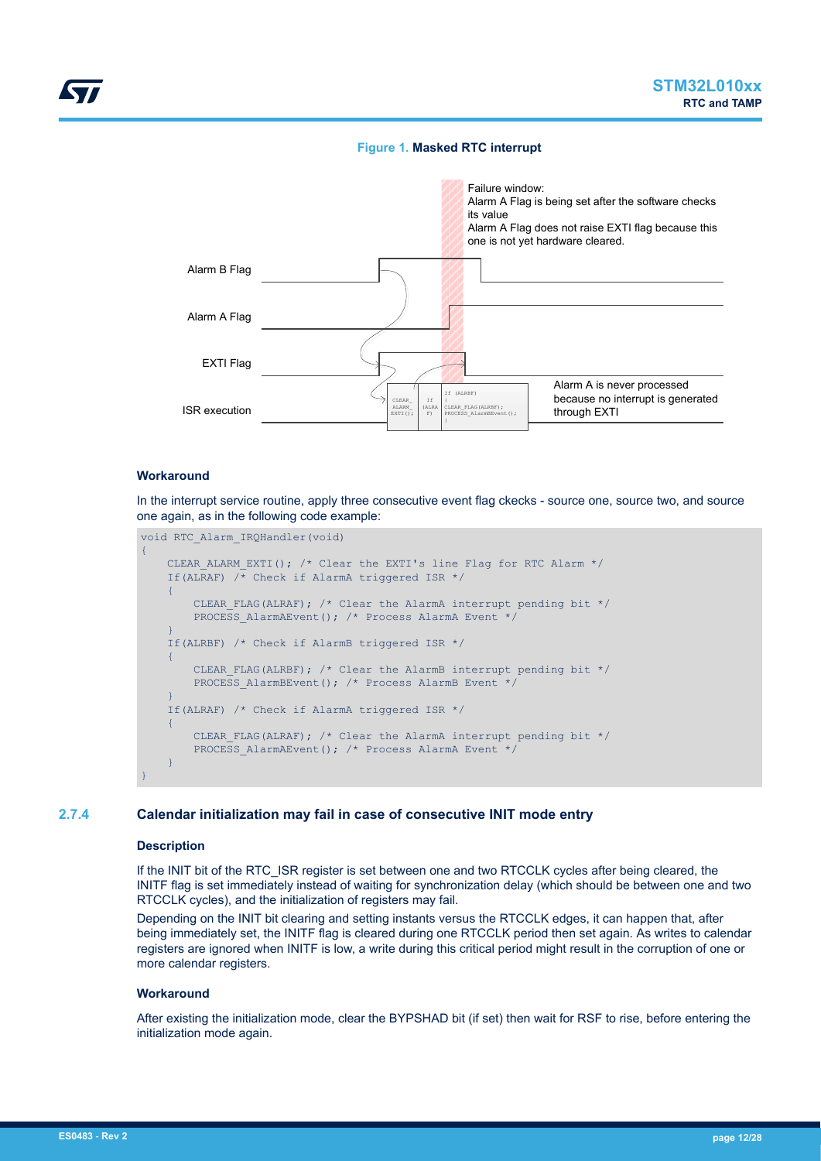## **Figure 1. Masked RTC interrupt**

<span id="page-11-0"></span>

## **Workaround**

In the interrupt service routine, apply three consecutive event flag ckecks - source one, source two, and source one again, as in the following code example:

```
void RTC_Alarm_IRQHandler(void)
{
     CLEAR_ALARM_EXTI(); /* Clear the EXTI's line Flag for RTC Alarm */
     If(ALRAF) /* Check if AlarmA triggered ISR */
    \left\{ \right.CLEAR FLAG(ALRAF); /* Clear the AlarmA interrupt pending bit */
        PROCESS AlarmAEvent(); /* Process AlarmA Event */
     }
     If(ALRBF) /* Check if AlarmB triggered ISR */
      {
         CLEAR FLAG(ALRBF); /* Clear the AlarmB interrupt pending bit */
         PROCESS AlarmBEvent(); /* Process AlarmB Event */
     }
     If(ALRAF) /* Check if AlarmA triggered ISR */
     {
         CLEAR FLAG(ALRAF); /* Clear the AlarmA interrupt pending bit */
         PROCESS AlarmAEvent(); /* Process AlarmA Event */
\left\{\begin{array}{cc} 1 & 1 \\ 1 & 1 \end{array}\right\}}
```
## **2.7.4 Calendar initialization may fail in case of consecutive INIT mode entry**

#### **Description**

If the INIT bit of the RTC\_ISR register is set between one and two RTCCLK cycles after being cleared, the INITF flag is set immediately instead of waiting for synchronization delay (which should be between one and two RTCCLK cycles), and the initialization of registers may fail.

Depending on the INIT bit clearing and setting instants versus the RTCCLK edges, it can happen that, after being immediately set, the INITF flag is cleared during one RTCCLK period then set again. As writes to calendar registers are ignored when INITF is low, a write during this critical period might result in the corruption of one or more calendar registers.

#### **Workaround**

After existing the initialization mode, clear the BYPSHAD bit (if set) then wait for RSF to rise, before entering the initialization mode again.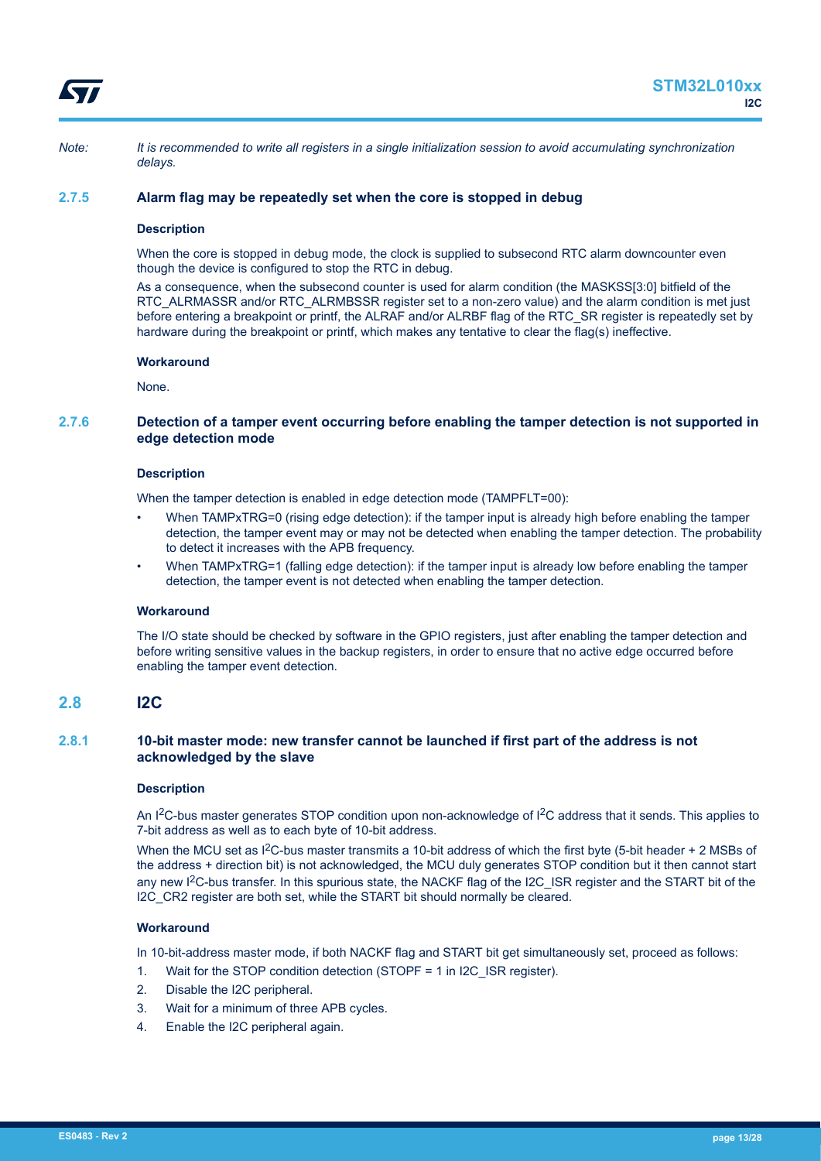<span id="page-12-0"></span>

*Note: It is recommended to write all registers in a single initialization session to avoid accumulating synchronization delays.*

## **2.7.5 Alarm flag may be repeatedly set when the core is stopped in debug**

### **Description**

When the core is stopped in debug mode, the clock is supplied to subsecond RTC alarm downcounter even though the device is configured to stop the RTC in debug.

As a consequence, when the subsecond counter is used for alarm condition (the MASKSS[3:0] bitfield of the RTC\_ALRMASSR and/or RTC\_ALRMBSSR register set to a non-zero value) and the alarm condition is met just before entering a breakpoint or printf, the ALRAF and/or ALRBF flag of the RTC\_SR register is repeatedly set by hardware during the breakpoint or printf, which makes any tentative to clear the flag(s) ineffective.

#### **Workaround**

None.

## **2.7.6 Detection of a tamper event occurring before enabling the tamper detection is not supported in edge detection mode**

#### **Description**

When the tamper detection is enabled in edge detection mode (TAMPFLT=00):

- When TAMPxTRG=0 (rising edge detection): if the tamper input is already high before enabling the tamper detection, the tamper event may or may not be detected when enabling the tamper detection. The probability to detect it increases with the APB frequency.
- When TAMPxTRG=1 (falling edge detection): if the tamper input is already low before enabling the tamper detection, the tamper event is not detected when enabling the tamper detection.

## **Workaround**

The I/O state should be checked by software in the GPIO registers, just after enabling the tamper detection and before writing sensitive values in the backup registers, in order to ensure that no active edge occurred before enabling the tamper event detection.

## **2.8 I2C**

## **2.8.1 10-bit master mode: new transfer cannot be launched if first part of the address is not acknowledged by the slave**

#### **Description**

An I<sup>2</sup>C-bus master generates STOP condition upon non-acknowledge of I<sup>2</sup>C address that it sends. This applies to 7-bit address as well as to each byte of 10-bit address.

When the MCU set as  $1^2C$ -bus master transmits a 10-bit address of which the first byte (5-bit header + 2 MSBs of the address + direction bit) is not acknowledged, the MCU duly generates STOP condition but it then cannot start any new I<sup>2</sup>C-bus transfer. In this spurious state, the NACKF flag of the I2C\_ISR register and the START bit of the I2C CR2 register are both set, while the START bit should normally be cleared.

#### **Workaround**

In 10-bit-address master mode, if both NACKF flag and START bit get simultaneously set, proceed as follows:

- 1. Wait for the STOP condition detection (STOPF = 1 in I2C\_ISR register).
- 2. Disable the I2C peripheral.
- 3. Wait for a minimum of three APB cycles.
- 4. Enable the I2C peripheral again.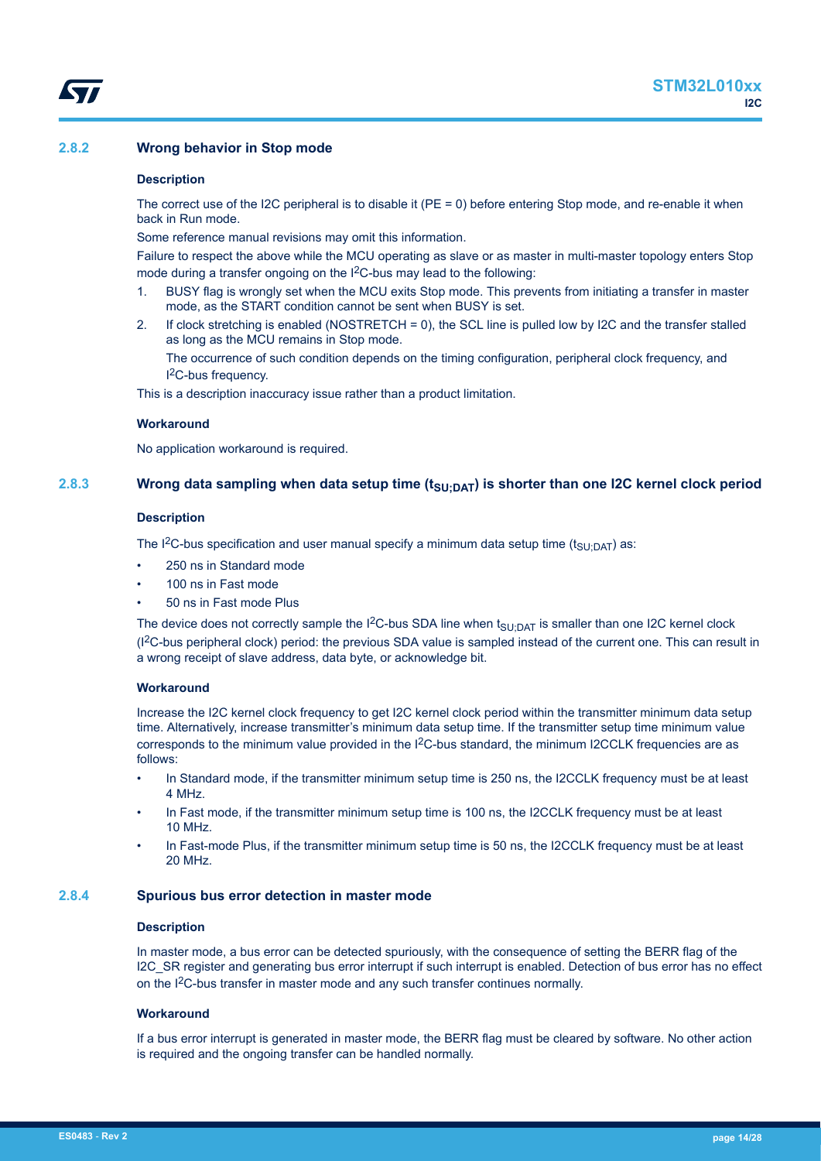## <span id="page-13-0"></span>**2.8.2 Wrong behavior in Stop mode**

#### **Description**

The correct use of the I2C peripheral is to disable it (PE = 0) before entering Stop mode, and re-enable it when back in Run mode.

Some reference manual revisions may omit this information.

Failure to respect the above while the MCU operating as slave or as master in multi-master topology enters Stop mode during a transfer ongoing on the I<sup>2</sup>C-bus may lead to the following:

- 1. BUSY flag is wrongly set when the MCU exits Stop mode. This prevents from initiating a transfer in master mode, as the START condition cannot be sent when BUSY is set.
- 2. If clock stretching is enabled (NOSTRETCH = 0), the SCL line is pulled low by I2C and the transfer stalled as long as the MCU remains in Stop mode.

The occurrence of such condition depends on the timing configuration, peripheral clock frequency, and I <sup>2</sup>C-bus frequency.

This is a description inaccuracy issue rather than a product limitation.

## **Workaround**

No application workaround is required.

## **2.8.3 Wrong data sampling when data setup time (tSU;DAT) is shorter than one I2C kernel clock period**

#### **Description**

The I<sup>2</sup>C-bus specification and user manual specify a minimum data setup time (t<sub>SU;DAT</sub>) as:

- 250 ns in Standard mode
- 100 ns in Fast mode
- 50 ns in Fast mode Plus

The device does not correctly sample the I<sup>2</sup>C-bus SDA line when  $t_{SU;DAT}$  is smaller than one I2C kernel clock (I2C-bus peripheral clock) period: the previous SDA value is sampled instead of the current one. This can result in a wrong receipt of slave address, data byte, or acknowledge bit.

#### **Workaround**

Increase the I2C kernel clock frequency to get I2C kernel clock period within the transmitter minimum data setup time. Alternatively, increase transmitter's minimum data setup time. If the transmitter setup time minimum value corresponds to the minimum value provided in the  $12C$ -bus standard, the minimum I2CCLK frequencies are as follows:

- In Standard mode, if the transmitter minimum setup time is 250 ns, the I2CCLK frequency must be at least 4 MHz.
- In Fast mode, if the transmitter minimum setup time is 100 ns, the I2CCLK frequency must be at least 10 MHz.
- In Fast-mode Plus, if the transmitter minimum setup time is 50 ns, the I2CCLK frequency must be at least 20 MHz.

## **2.8.4 Spurious bus error detection in master mode**

#### **Description**

In master mode, a bus error can be detected spuriously, with the consequence of setting the BERR flag of the I2C\_SR register and generating bus error interrupt if such interrupt is enabled. Detection of bus error has no effect on the I<sup>2</sup>C-bus transfer in master mode and any such transfer continues normally.

## **Workaround**

If a bus error interrupt is generated in master mode, the BERR flag must be cleared by software. No other action is required and the ongoing transfer can be handled normally.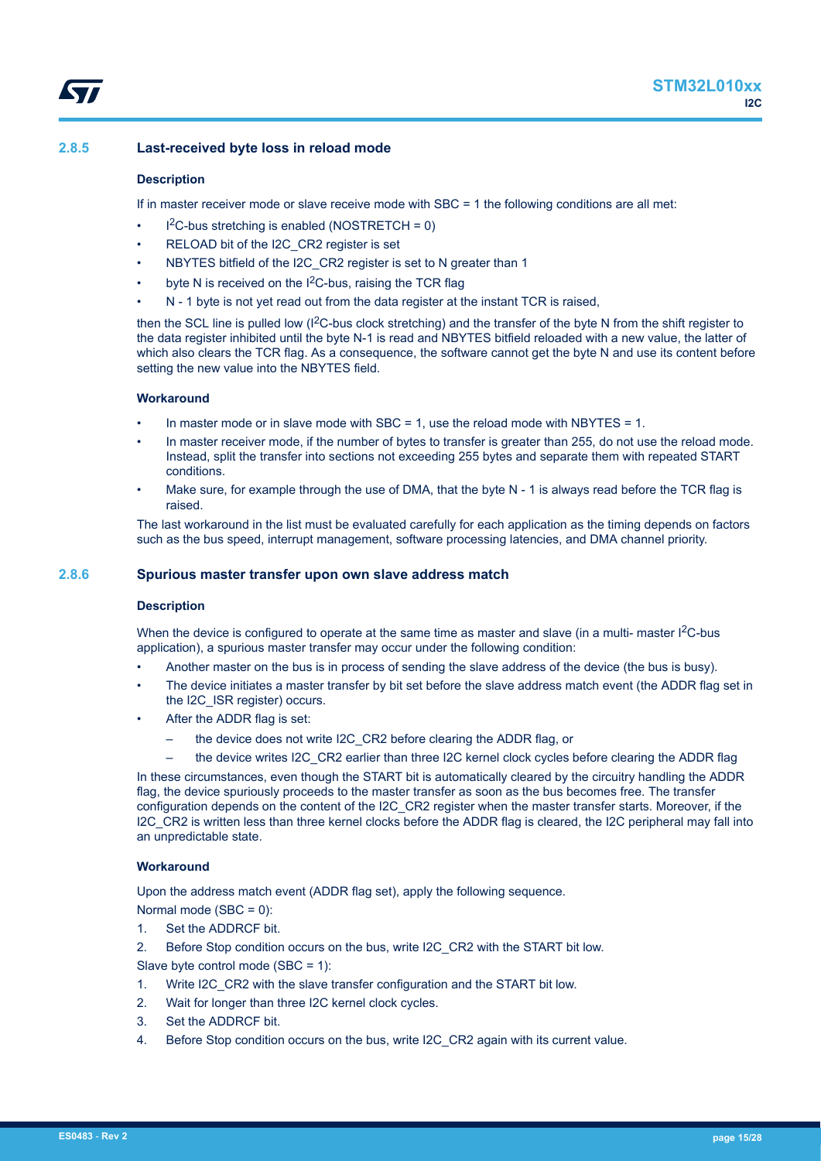## <span id="page-14-0"></span>**Description**

If in master receiver mode or slave receive mode with SBC = 1 the following conditions are all met:

- $l^2C$ -bus stretching is enabled (NOSTRETCH = 0)
- RELOAD bit of the I2C\_CR2 register is set
- NBYTES bitfield of the I2C CR2 register is set to N greater than 1
- byte N is received on the  $1<sup>2</sup>C$ -bus, raising the TCR flag
- N 1 byte is not yet read out from the data register at the instant TCR is raised,

then the SCL line is pulled low (I<sup>2</sup>C-bus clock stretching) and the transfer of the byte N from the shift register to the data register inhibited until the byte N-1 is read and NBYTES bitfield reloaded with a new value, the latter of which also clears the TCR flag. As a consequence, the software cannot get the byte N and use its content before setting the new value into the NBYTES field.

## **Workaround**

- In master mode or in slave mode with SBC = 1, use the reload mode with NBYTES = 1.
- In master receiver mode, if the number of bytes to transfer is greater than 255, do not use the reload mode. Instead, split the transfer into sections not exceeding 255 bytes and separate them with repeated START conditions.
- Make sure, for example through the use of DMA, that the byte N 1 is always read before the TCR flag is raised.

The last workaround in the list must be evaluated carefully for each application as the timing depends on factors such as the bus speed, interrupt management, software processing latencies, and DMA channel priority.

## **2.8.6 Spurious master transfer upon own slave address match**

#### **Description**

When the device is configured to operate at the same time as master and slave (in a multi- master  $1^2C$ -bus application), a spurious master transfer may occur under the following condition:

- Another master on the bus is in process of sending the slave address of the device (the bus is busy).
- The device initiates a master transfer by bit set before the slave address match event (the ADDR flag set in the I2C\_ISR register) occurs.
- After the ADDR flag is set:
	- the device does not write I2C\_CR2 before clearing the ADDR flag, or
	- the device writes I2C\_CR2 earlier than three I2C kernel clock cycles before clearing the ADDR flag

In these circumstances, even though the START bit is automatically cleared by the circuitry handling the ADDR flag, the device spuriously proceeds to the master transfer as soon as the bus becomes free. The transfer configuration depends on the content of the I2C\_CR2 register when the master transfer starts. Moreover, if the I2C\_CR2 is written less than three kernel clocks before the ADDR flag is cleared, the I2C peripheral may fall into an unpredictable state.

## **Workaround**

Upon the address match event (ADDR flag set), apply the following sequence.

Normal mode (SBC = 0):

1. Set the ADDRCF bit.

2. Before Stop condition occurs on the bus, write I2C\_CR2 with the START bit low.

Slave byte control mode (SBC = 1):

- 1. Write I2C\_CR2 with the slave transfer configuration and the START bit low.
- 2. Wait for longer than three I2C kernel clock cycles.
- 3. Set the ADDRCF bit.
- 4. Before Stop condition occurs on the bus, write I2C\_CR2 again with its current value.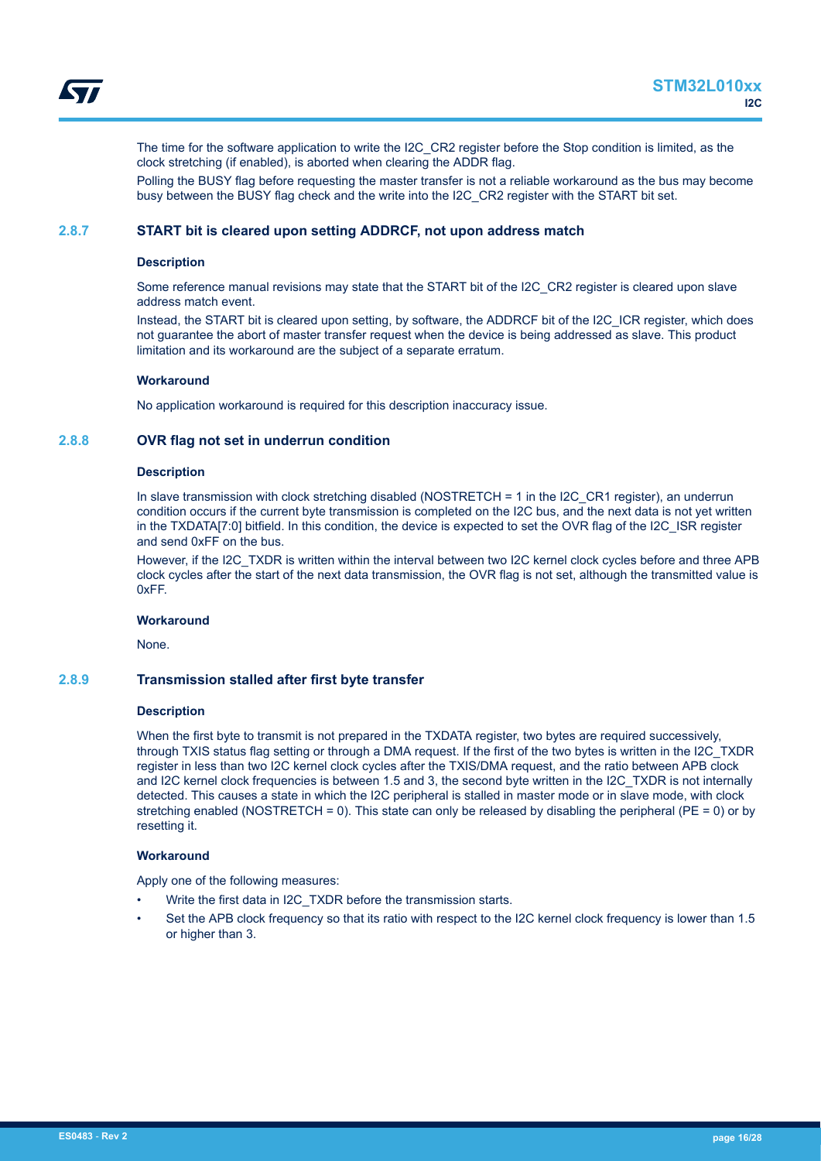<span id="page-15-0"></span>The time for the software application to write the I2C\_CR2 register before the Stop condition is limited, as the clock stretching (if enabled), is aborted when clearing the ADDR flag.

Polling the BUSY flag before requesting the master transfer is not a reliable workaround as the bus may become busy between the BUSY flag check and the write into the I2C\_CR2 register with the START bit set.

## **2.8.7 START bit is cleared upon setting ADDRCF, not upon address match**

#### **Description**

Some reference manual revisions may state that the START bit of the I2C\_CR2 register is cleared upon slave address match event.

Instead, the START bit is cleared upon setting, by software, the ADDRCF bit of the I2C\_ICR register, which does not guarantee the abort of master transfer request when the device is being addressed as slave. This product limitation and its workaround are the subject of a separate erratum.

#### **Workaround**

No application workaround is required for this description inaccuracy issue.

#### **2.8.8 OVR flag not set in underrun condition**

#### **Description**

In slave transmission with clock stretching disabled (NOSTRETCH = 1 in the I2C\_CR1 register), an underrun condition occurs if the current byte transmission is completed on the I2C bus, and the next data is not yet written in the TXDATA[7:0] bitfield. In this condition, the device is expected to set the OVR flag of the I2C\_ISR register and send 0xFF on the bus.

However, if the I2C\_TXDR is written within the interval between two I2C kernel clock cycles before and three APB clock cycles after the start of the next data transmission, the OVR flag is not set, although the transmitted value is 0xFF.

#### **Workaround**

None.

#### **2.8.9 Transmission stalled after first byte transfer**

#### **Description**

When the first byte to transmit is not prepared in the TXDATA register, two bytes are required successively, through TXIS status flag setting or through a DMA request. If the first of the two bytes is written in the I2C\_TXDR register in less than two I2C kernel clock cycles after the TXIS/DMA request, and the ratio between APB clock and I2C kernel clock frequencies is between 1.5 and 3, the second byte written in the I2C\_TXDR is not internally detected. This causes a state in which the I2C peripheral is stalled in master mode or in slave mode, with clock stretching enabled (NOSTRETCH = 0). This state can only be released by disabling the peripheral ( $PE = 0$ ) or by resetting it.

#### **Workaround**

Apply one of the following measures:

- Write the first data in I2C\_TXDR before the transmission starts.
- Set the APB clock frequency so that its ratio with respect to the I2C kernel clock frequency is lower than 1.5 or higher than 3.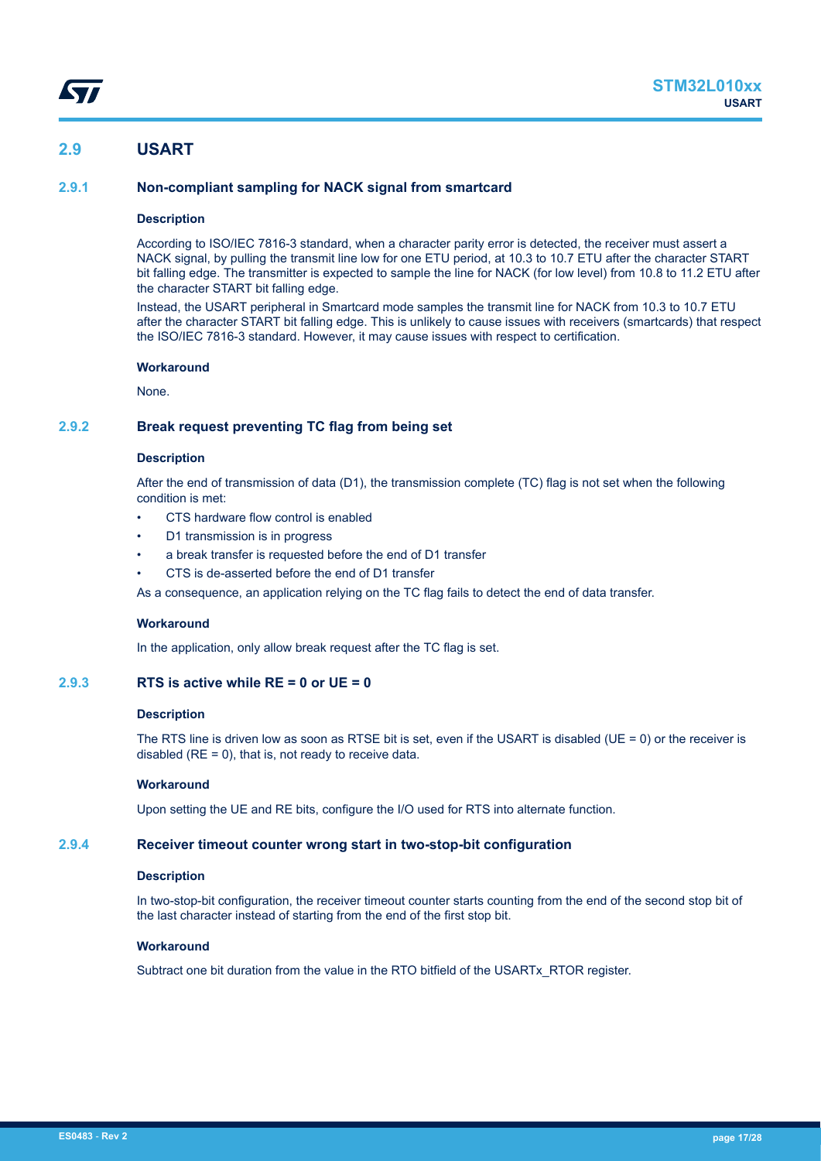# <span id="page-16-0"></span>**2.9 USART**

## **2.9.1 Non-compliant sampling for NACK signal from smartcard**

## **Description**

According to ISO/IEC 7816-3 standard, when a character parity error is detected, the receiver must assert a NACK signal, by pulling the transmit line low for one ETU period, at 10.3 to 10.7 ETU after the character START bit falling edge. The transmitter is expected to sample the line for NACK (for low level) from 10.8 to 11.2 ETU after the character START bit falling edge.

Instead, the USART peripheral in Smartcard mode samples the transmit line for NACK from 10.3 to 10.7 ETU after the character START bit falling edge. This is unlikely to cause issues with receivers (smartcards) that respect the ISO/IEC 7816-3 standard. However, it may cause issues with respect to certification.

#### **Workaround**

None.

## **2.9.2 Break request preventing TC flag from being set**

## **Description**

After the end of transmission of data (D1), the transmission complete (TC) flag is not set when the following condition is met:

- CTS hardware flow control is enabled
- D1 transmission is in progress
- a break transfer is requested before the end of D1 transfer
- CTS is de-asserted before the end of D1 transfer

As a consequence, an application relying on the TC flag fails to detect the end of data transfer.

#### **Workaround**

In the application, only allow break request after the TC flag is set.

## **2.9.3 RTS is active while RE = 0 or UE = 0**

## **Description**

The RTS line is driven low as soon as RTSE bit is set, even if the USART is disabled (UE = 0) or the receiver is disabled  $(RE = 0)$ , that is, not ready to receive data.

#### **Workaround**

Upon setting the UE and RE bits, configure the I/O used for RTS into alternate function.

## **2.9.4 Receiver timeout counter wrong start in two-stop-bit configuration**

## **Description**

In two-stop-bit configuration, the receiver timeout counter starts counting from the end of the second stop bit of the last character instead of starting from the end of the first stop bit.

## **Workaround**

Subtract one bit duration from the value in the RTO bitfield of the USARTx\_RTOR register.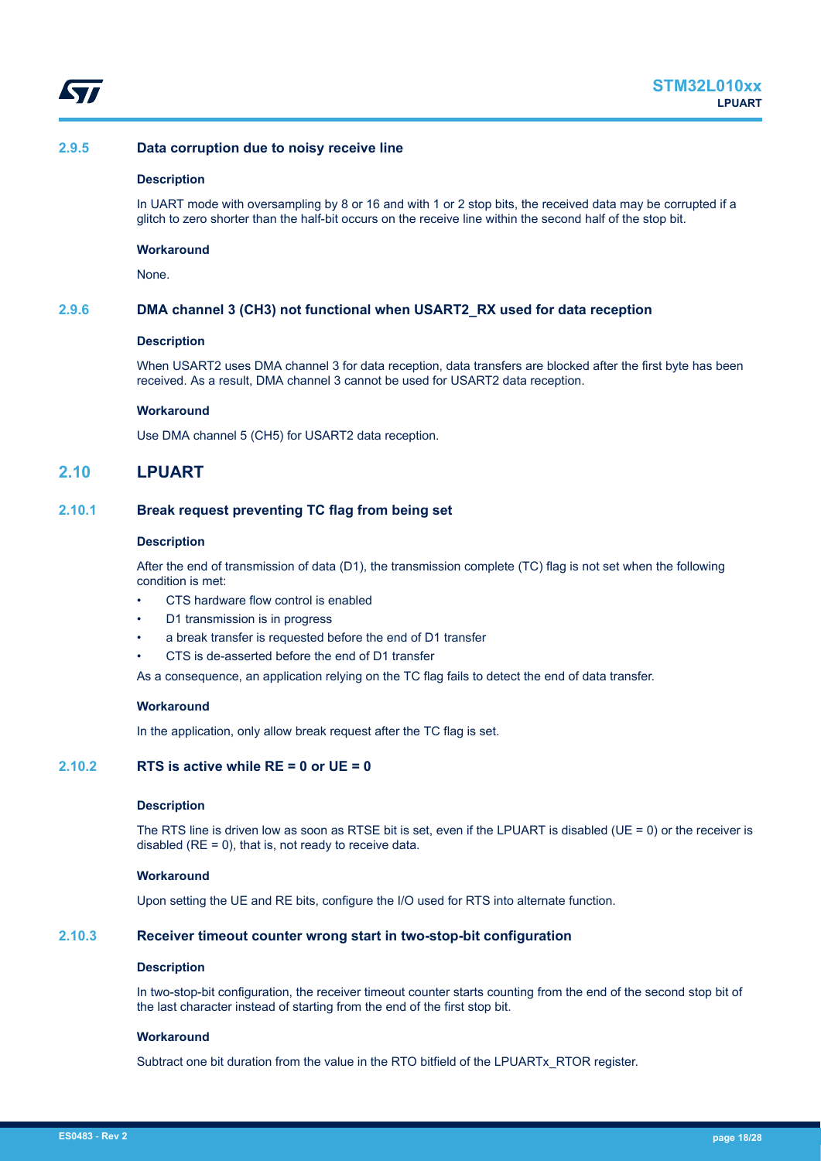<span id="page-17-0"></span>

## **2.9.5 Data corruption due to noisy receive line**

#### **Description**

In UART mode with oversampling by 8 or 16 and with 1 or 2 stop bits, the received data may be corrupted if a glitch to zero shorter than the half-bit occurs on the receive line within the second half of the stop bit.

#### **Workaround**

None.

## **2.9.6 DMA channel 3 (CH3) not functional when USART2\_RX used for data reception**

## **Description**

When USART2 uses DMA channel 3 for data reception, data transfers are blocked after the first byte has been received. As a result, DMA channel 3 cannot be used for USART2 data reception.

#### **Workaround**

Use DMA channel 5 (CH5) for USART2 data reception.

## **2.10 LPUART**

## **2.10.1 Break request preventing TC flag from being set**

#### **Description**

After the end of transmission of data (D1), the transmission complete (TC) flag is not set when the following condition is met:

- CTS hardware flow control is enabled
- D1 transmission is in progress
- a break transfer is requested before the end of D1 transfer
- CTS is de-asserted before the end of D1 transfer

As a consequence, an application relying on the TC flag fails to detect the end of data transfer.

#### **Workaround**

In the application, only allow break request after the TC flag is set.

## **2.10.2 RTS is active while RE = 0 or UE = 0**

#### **Description**

The RTS line is driven low as soon as RTSE bit is set, even if the LPUART is disabled (UE = 0) or the receiver is disabled ( $RE = 0$ ), that is, not ready to receive data.

## **Workaround**

Upon setting the UE and RE bits, configure the I/O used for RTS into alternate function.

## **2.10.3 Receiver timeout counter wrong start in two-stop-bit configuration**

#### **Description**

In two-stop-bit configuration, the receiver timeout counter starts counting from the end of the second stop bit of the last character instead of starting from the end of the first stop bit.

#### **Workaround**

Subtract one bit duration from the value in the RTO bitfield of the LPUARTx\_RTOR register.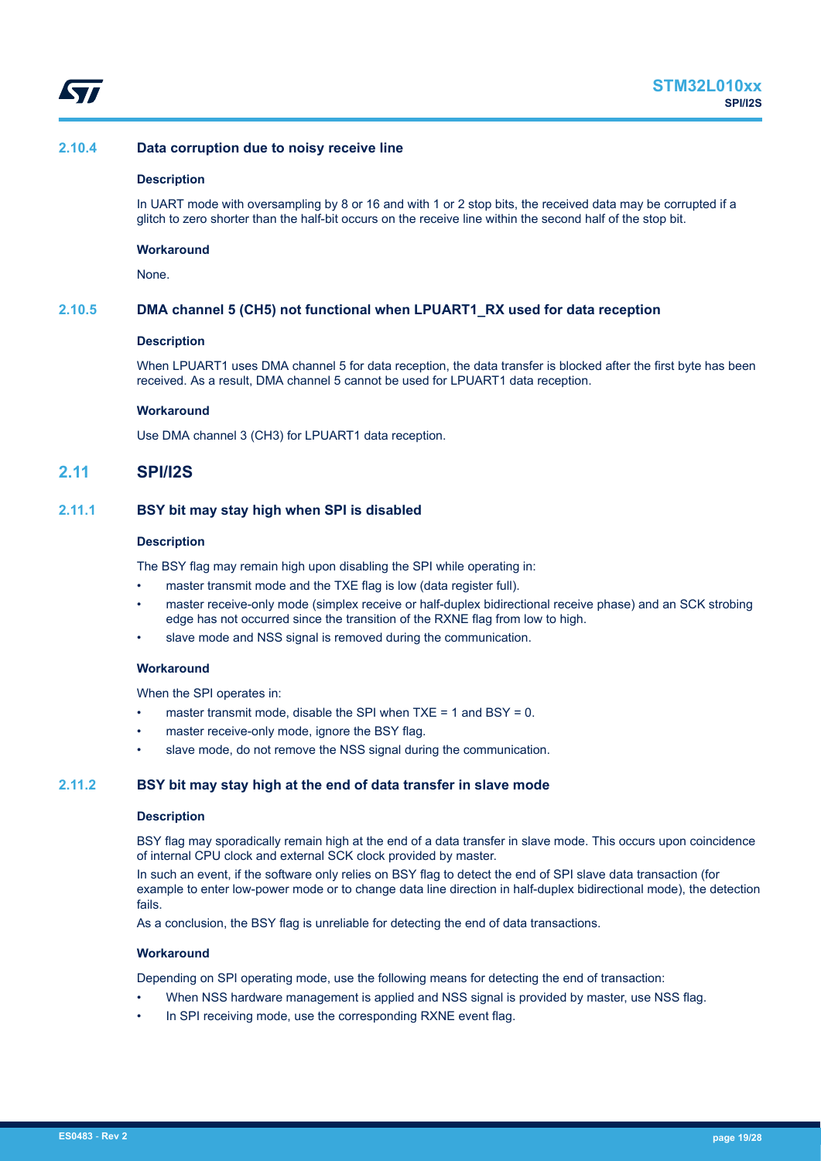<span id="page-18-0"></span>

## **2.10.4 Data corruption due to noisy receive line**

#### **Description**

In UART mode with oversampling by 8 or 16 and with 1 or 2 stop bits, the received data may be corrupted if a glitch to zero shorter than the half-bit occurs on the receive line within the second half of the stop bit.

#### **Workaround**

None.

## **2.10.5 DMA channel 5 (CH5) not functional when LPUART1\_RX used for data reception**

#### **Description**

When LPUART1 uses DMA channel 5 for data reception, the data transfer is blocked after the first byte has been received. As a result, DMA channel 5 cannot be used for LPUART1 data reception.

#### **Workaround**

Use DMA channel 3 (CH3) for LPUART1 data reception.

## **2.11 SPI/I2S**

## **2.11.1 BSY bit may stay high when SPI is disabled**

#### **Description**

The BSY flag may remain high upon disabling the SPI while operating in:

- master transmit mode and the TXE flag is low (data register full).
- master receive-only mode (simplex receive or half-duplex bidirectional receive phase) and an SCK strobing edge has not occurred since the transition of the RXNE flag from low to high.
- slave mode and NSS signal is removed during the communication.

#### **Workaround**

When the SPI operates in:

- master transmit mode, disable the SPI when  $TXE = 1$  and  $BSY = 0$ .
- master receive-only mode, ignore the BSY flag.
- slave mode, do not remove the NSS signal during the communication.

#### **2.11.2 BSY bit may stay high at the end of data transfer in slave mode**

#### **Description**

BSY flag may sporadically remain high at the end of a data transfer in slave mode. This occurs upon coincidence of internal CPU clock and external SCK clock provided by master.

In such an event, if the software only relies on BSY flag to detect the end of SPI slave data transaction (for example to enter low-power mode or to change data line direction in half-duplex bidirectional mode), the detection fails.

As a conclusion, the BSY flag is unreliable for detecting the end of data transactions.

#### **Workaround**

Depending on SPI operating mode, use the following means for detecting the end of transaction:

- When NSS hardware management is applied and NSS signal is provided by master, use NSS flag.
- In SPI receiving mode, use the corresponding RXNE event flag.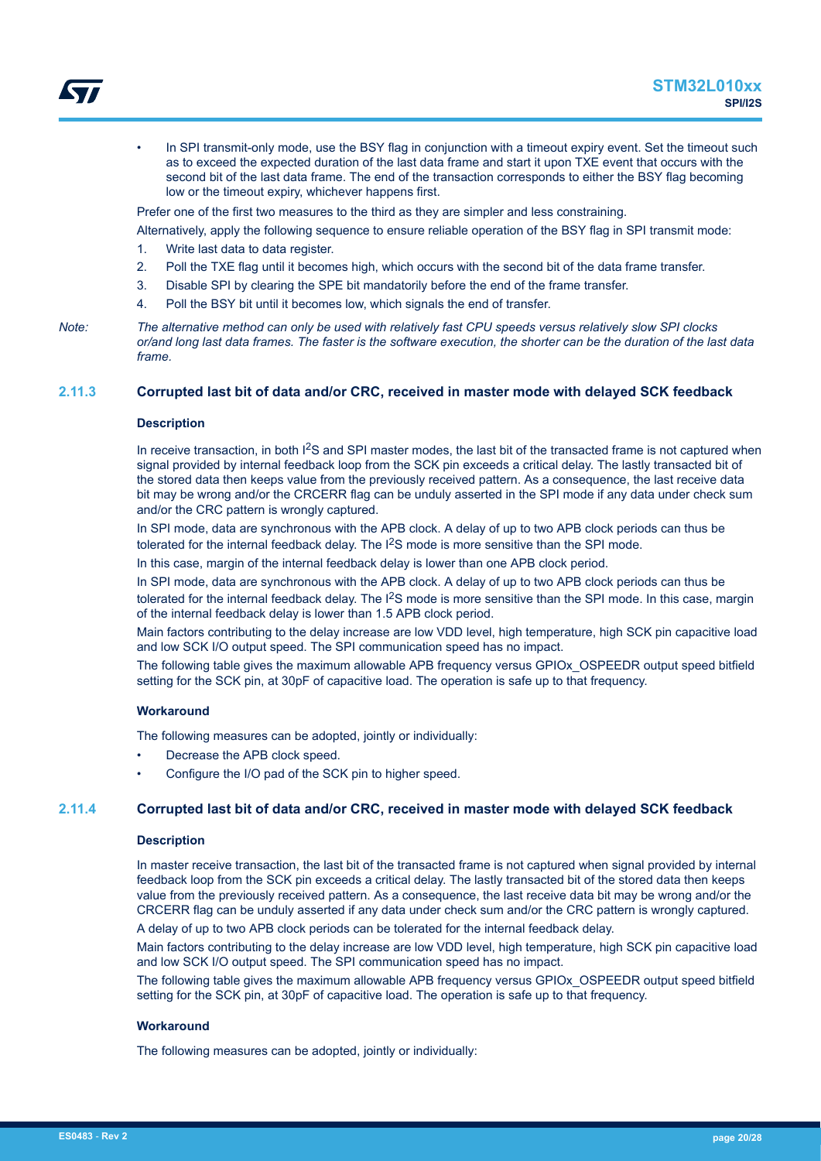<span id="page-19-0"></span>In SPI transmit-only mode, use the BSY flag in conjunction with a timeout expiry event. Set the timeout such as to exceed the expected duration of the last data frame and start it upon TXE event that occurs with the second bit of the last data frame. The end of the transaction corresponds to either the BSY flag becoming low or the timeout expiry, whichever happens first.

Prefer one of the first two measures to the third as they are simpler and less constraining.

Alternatively, apply the following sequence to ensure reliable operation of the BSY flag in SPI transmit mode:

- 1. Write last data to data register.
- 2. Poll the TXE flag until it becomes high, which occurs with the second bit of the data frame transfer.
- 3. Disable SPI by clearing the SPE bit mandatorily before the end of the frame transfer.
- 4. Poll the BSY bit until it becomes low, which signals the end of transfer.

## **2.11.3 Corrupted last bit of data and/or CRC, received in master mode with delayed SCK feedback**

#### **Description**

In receive transaction, in both I<sup>2</sup>S and SPI master modes, the last bit of the transacted frame is not captured when signal provided by internal feedback loop from the SCK pin exceeds a critical delay. The lastly transacted bit of the stored data then keeps value from the previously received pattern. As a consequence, the last receive data bit may be wrong and/or the CRCERR flag can be unduly asserted in the SPI mode if any data under check sum and/or the CRC pattern is wrongly captured.

In SPI mode, data are synchronous with the APB clock. A delay of up to two APB clock periods can thus be tolerated for the internal feedback delay. The I<sup>2</sup>S mode is more sensitive than the SPI mode.

In this case, margin of the internal feedback delay is lower than one APB clock period.

In SPI mode, data are synchronous with the APB clock. A delay of up to two APB clock periods can thus be tolerated for the internal feedback delay. The I<sup>2</sup>S mode is more sensitive than the SPI mode. In this case, margin of the internal feedback delay is lower than 1.5 APB clock period.

Main factors contributing to the delay increase are low VDD level, high temperature, high SCK pin capacitive load and low SCK I/O output speed. The SPI communication speed has no impact.

The following table gives the maximum allowable APB frequency versus GPIOx\_OSPEEDR output speed bitfield setting for the SCK pin, at 30pF of capacitive load. The operation is safe up to that frequency.

#### **Workaround**

The following measures can be adopted, jointly or individually:

- Decrease the APB clock speed.
- Configure the I/O pad of the SCK pin to higher speed.

## **2.11.4 Corrupted last bit of data and/or CRC, received in master mode with delayed SCK feedback**

#### **Description**

In master receive transaction, the last bit of the transacted frame is not captured when signal provided by internal feedback loop from the SCK pin exceeds a critical delay. The lastly transacted bit of the stored data then keeps value from the previously received pattern. As a consequence, the last receive data bit may be wrong and/or the CRCERR flag can be unduly asserted if any data under check sum and/or the CRC pattern is wrongly captured.

A delay of up to two APB clock periods can be tolerated for the internal feedback delay.

Main factors contributing to the delay increase are low VDD level, high temperature, high SCK pin capacitive load and low SCK I/O output speed. The SPI communication speed has no impact.

The following table gives the maximum allowable APB frequency versus GPIOx\_OSPEEDR output speed bitfield setting for the SCK pin, at 30pF of capacitive load. The operation is safe up to that frequency.

#### **Workaround**

The following measures can be adopted, jointly or individually:

*Note: The alternative method can only be used with relatively fast CPU speeds versus relatively slow SPI clocks or/and long last data frames. The faster is the software execution, the shorter can be the duration of the last data frame.*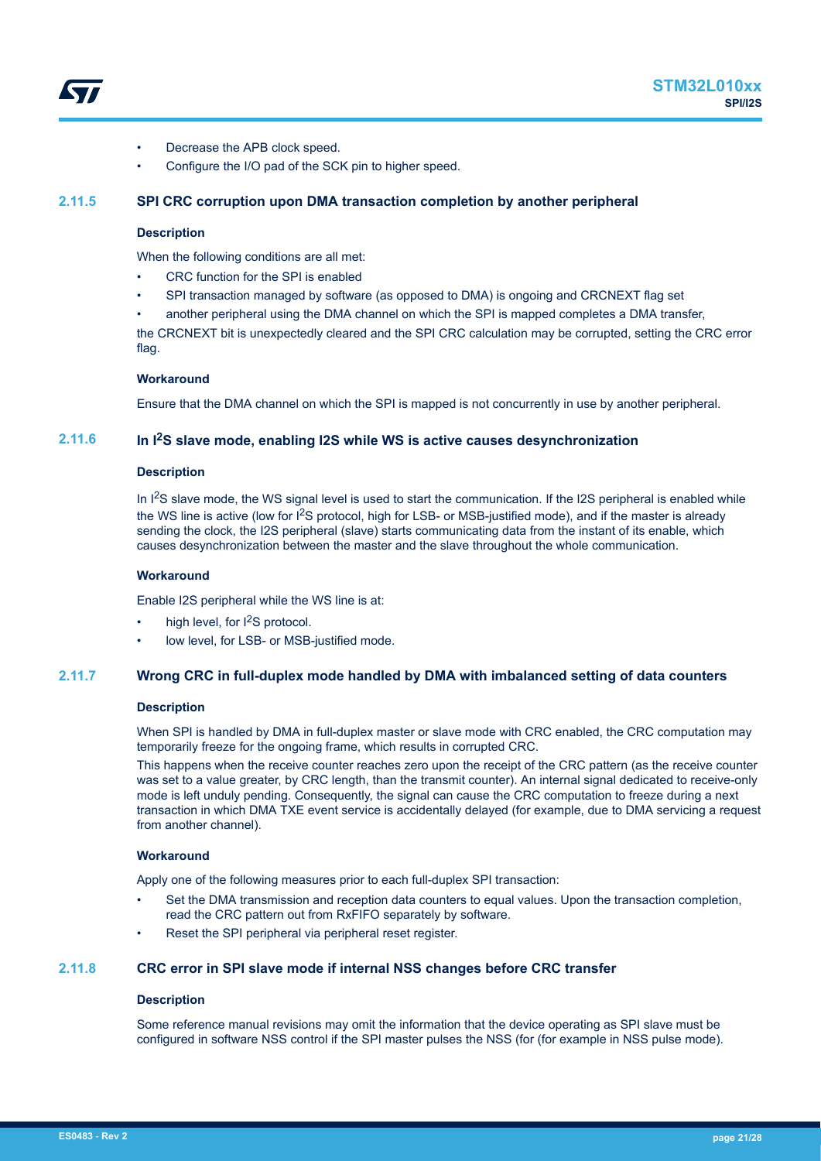<span id="page-20-0"></span>

- Decrease the APB clock speed.
- Configure the I/O pad of the SCK pin to higher speed.

## **2.11.5 SPI CRC corruption upon DMA transaction completion by another peripheral**

## **Description**

When the following conditions are all met:

- CRC function for the SPI is enabled
- SPI transaction managed by software (as opposed to DMA) is ongoing and CRCNEXT flag set
- another peripheral using the DMA channel on which the SPI is mapped completes a DMA transfer,

the CRCNEXT bit is unexpectedly cleared and the SPI CRC calculation may be corrupted, setting the CRC error flag.

#### **Workaround**

Ensure that the DMA channel on which the SPI is mapped is not concurrently in use by another peripheral.

## **2.11.6 In I2S slave mode, enabling I2S while WS is active causes desynchronization**

#### **Description**

In  $1<sup>2</sup>S$  slave mode, the WS signal level is used to start the communication. If the I2S peripheral is enabled while the WS line is active (low for I<sup>2</sup>S protocol, high for LSB- or MSB-justified mode), and if the master is already sending the clock, the I2S peripheral (slave) starts communicating data from the instant of its enable, which causes desynchronization between the master and the slave throughout the whole communication.

#### **Workaround**

Enable I2S peripheral while the WS line is at:

- high level, for  $l^2S$  protocol.
- low level, for LSB- or MSB-justified mode.

## **2.11.7 Wrong CRC in full-duplex mode handled by DMA with imbalanced setting of data counters**

#### **Description**

When SPI is handled by DMA in full-duplex master or slave mode with CRC enabled, the CRC computation may temporarily freeze for the ongoing frame, which results in corrupted CRC.

This happens when the receive counter reaches zero upon the receipt of the CRC pattern (as the receive counter was set to a value greater, by CRC length, than the transmit counter). An internal signal dedicated to receive-only mode is left unduly pending. Consequently, the signal can cause the CRC computation to freeze during a next transaction in which DMA TXE event service is accidentally delayed (for example, due to DMA servicing a request from another channel).

#### **Workaround**

Apply one of the following measures prior to each full-duplex SPI transaction:

- Set the DMA transmission and reception data counters to equal values. Upon the transaction completion, read the CRC pattern out from RxFIFO separately by software.
- Reset the SPI peripheral via peripheral reset register.

## **2.11.8 CRC error in SPI slave mode if internal NSS changes before CRC transfer**

#### **Description**

Some reference manual revisions may omit the information that the device operating as SPI slave must be configured in software NSS control if the SPI master pulses the NSS (for (for example in NSS pulse mode).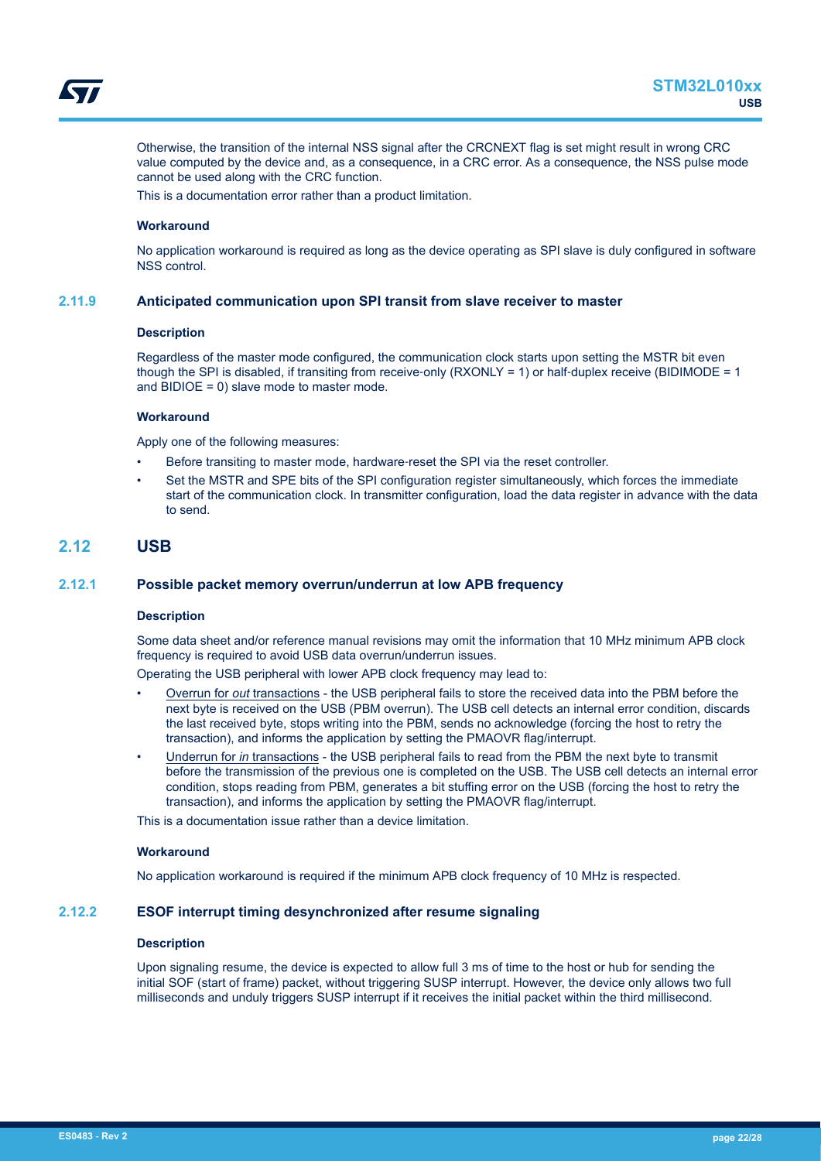<span id="page-21-0"></span>

Otherwise, the transition of the internal NSS signal after the CRCNEXT flag is set might result in wrong CRC value computed by the device and, as a consequence, in a CRC error. As a consequence, the NSS pulse mode cannot be used along with the CRC function.

This is a documentation error rather than a product limitation.

#### **Workaround**

No application workaround is required as long as the device operating as SPI slave is duly configured in software NSS control.

#### **2.11.9 Anticipated communication upon SPI transit from slave receiver to master**

#### **Description**

Regardless of the master mode configured, the communication clock starts upon setting the MSTR bit even though the SPI is disabled, if transiting from receive-only (RXONLY = 1) or half-duplex receive (BIDIMODE = 1) and BIDIOE = 0) slave mode to master mode.

#### **Workaround**

Apply one of the following measures:

- Before transiting to master mode, hardware‑reset the SPI via the reset controller.
- Set the MSTR and SPE bits of the SPI configuration register simultaneously, which forces the immediate start of the communication clock. In transmitter configuration, load the data register in advance with the data to send.

## **2.12 USB**

## **2.12.1 Possible packet memory overrun/underrun at low APB frequency**

#### **Description**

Some data sheet and/or reference manual revisions may omit the information that 10 MHz minimum APB clock frequency is required to avoid USB data overrun/underrun issues.

Operating the USB peripheral with lower APB clock frequency may lead to:

- Overrun for *out* transactions the USB peripheral fails to store the received data into the PBM before the next byte is received on the USB (PBM overrun). The USB cell detects an internal error condition, discards the last received byte, stops writing into the PBM, sends no acknowledge (forcing the host to retry the transaction), and informs the application by setting the PMAOVR flag/interrupt.
- Underrun for *in* transactions the USB peripheral fails to read from the PBM the next byte to transmit before the transmission of the previous one is completed on the USB. The USB cell detects an internal error condition, stops reading from PBM, generates a bit stuffing error on the USB (forcing the host to retry the transaction), and informs the application by setting the PMAOVR flag/interrupt.

This is a documentation issue rather than a device limitation.

#### **Workaround**

No application workaround is required if the minimum APB clock frequency of 10 MHz is respected.

## **2.12.2 ESOF interrupt timing desynchronized after resume signaling**

#### **Description**

Upon signaling resume, the device is expected to allow full 3 ms of time to the host or hub for sending the initial SOF (start of frame) packet, without triggering SUSP interrupt. However, the device only allows two full milliseconds and unduly triggers SUSP interrupt if it receives the initial packet within the third millisecond.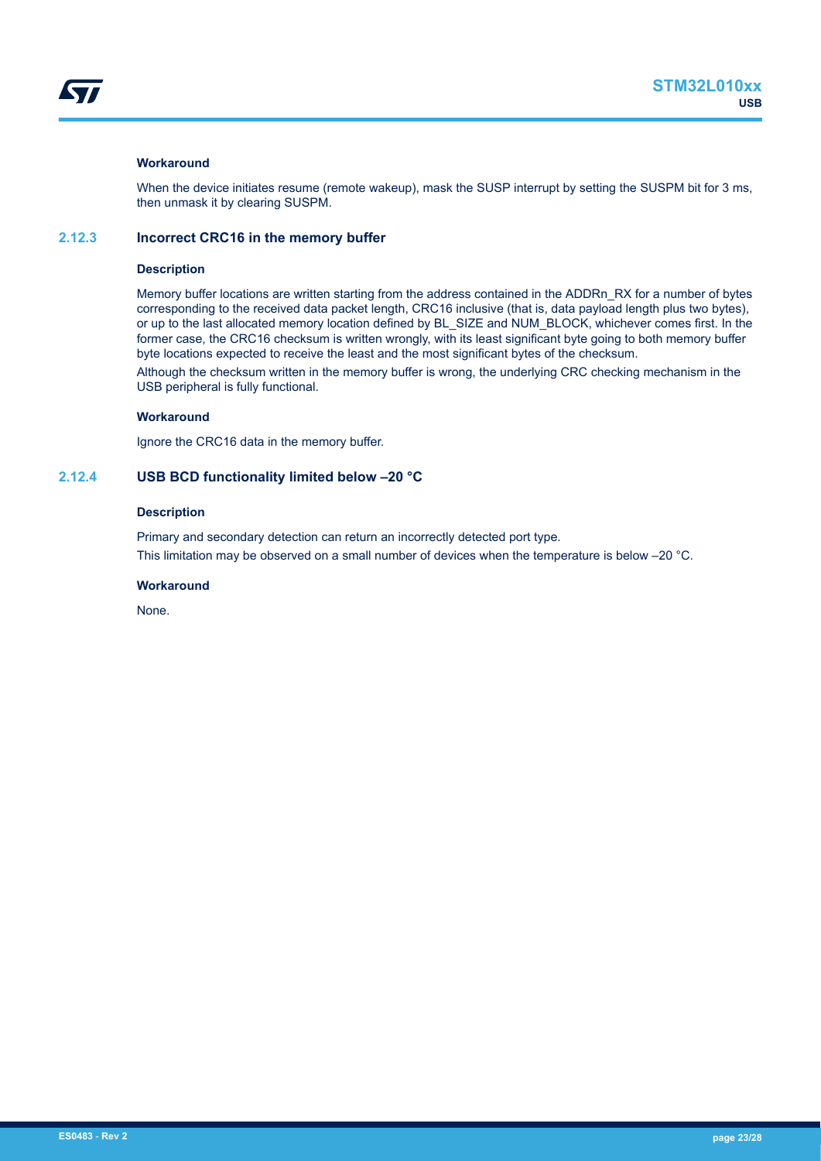## <span id="page-22-0"></span>**Workaround**

When the device initiates resume (remote wakeup), mask the SUSP interrupt by setting the SUSPM bit for 3 ms, then unmask it by clearing SUSPM.

## **2.12.3 Incorrect CRC16 in the memory buffer**

#### **Description**

Memory buffer locations are written starting from the address contained in the ADDRn\_RX for a number of bytes corresponding to the received data packet length, CRC16 inclusive (that is, data payload length plus two bytes), or up to the last allocated memory location defined by BL\_SIZE and NUM\_BLOCK, whichever comes first. In the former case, the CRC16 checksum is written wrongly, with its least significant byte going to both memory buffer byte locations expected to receive the least and the most significant bytes of the checksum.

Although the checksum written in the memory buffer is wrong, the underlying CRC checking mechanism in the USB peripheral is fully functional.

## **Workaround**

Ignore the CRC16 data in the memory buffer.

## **2.12.4 USB BCD functionality limited below –20 °C**

## **Description**

Primary and secondary detection can return an incorrectly detected port type. This limitation may be observed on a small number of devices when the temperature is below -20 °C.

#### **Workaround**

None.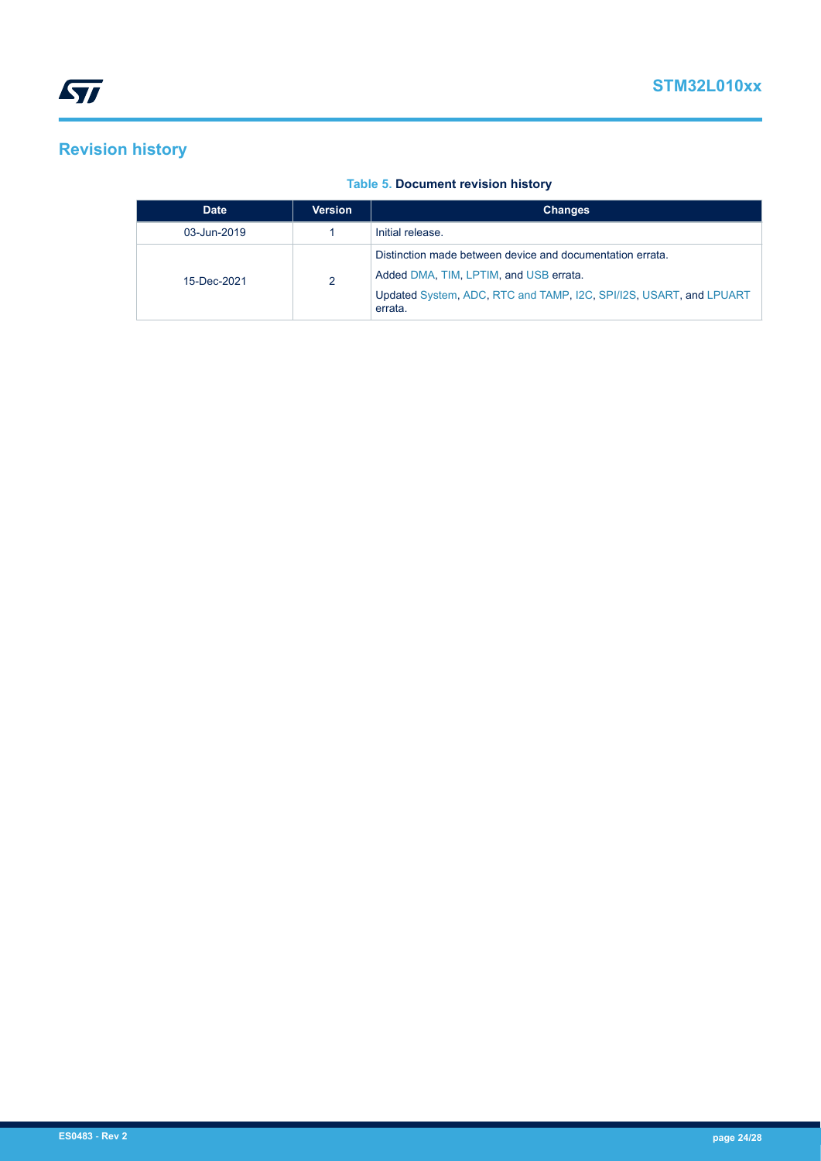# <span id="page-23-0"></span>**Revision history**

## **Table 5. Document revision history**

| <b>Date</b> | <b>Version</b> | <b>Changes</b>                                                                |
|-------------|----------------|-------------------------------------------------------------------------------|
| 03-Jun-2019 |                | Initial release.                                                              |
|             | 2              | Distinction made between device and documentation errata.                     |
| 15-Dec-2021 |                | Added DMA, TIM, LPTIM, and USB errata.                                        |
|             |                | Updated System, ADC, RTC and TAMP, I2C, SPI/I2S, USART, and LPUART<br>errata. |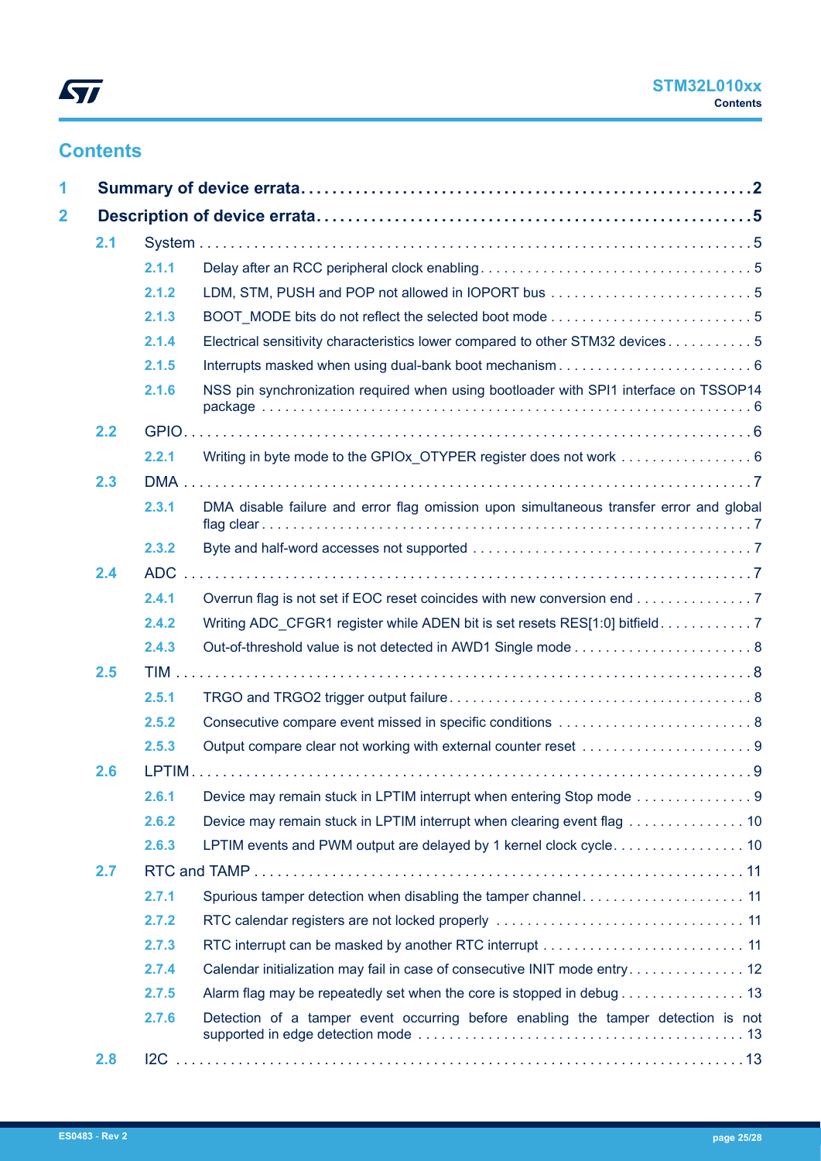# **Contents**

| 2.1 |            |                                                                                         |  |
|-----|------------|-----------------------------------------------------------------------------------------|--|
|     | 2.1.1      |                                                                                         |  |
|     | 2.1.2      |                                                                                         |  |
|     | 2.1.3      |                                                                                         |  |
|     | 2.1.4      | Electrical sensitivity characteristics lower compared to other STM32 devices 5          |  |
|     | 2.1.5      |                                                                                         |  |
|     | 2.1.6      | NSS pin synchronization required when using bootloader with SPI1 interface on TSSOP14   |  |
| 2.2 |            |                                                                                         |  |
|     | 2.2.1      |                                                                                         |  |
| 2.3 |            |                                                                                         |  |
|     | 2.3.1      | DMA disable failure and error flag omission upon simultaneous transfer error and global |  |
|     | 2.3.2      |                                                                                         |  |
| 2.4 | <b>ADC</b> |                                                                                         |  |
|     | 2.4.1      | Overrun flag is not set if EOC reset coincides with new conversion end 7                |  |
|     | 2.4.2      | Writing ADC_CFGR1 register while ADEN bit is set resets RES[1:0] bitfield. 7            |  |
|     | 2.4.3      |                                                                                         |  |
| 2.5 |            |                                                                                         |  |
|     | 2.5.1      |                                                                                         |  |
|     | 2.5.2      |                                                                                         |  |
|     | 2.5.3      |                                                                                         |  |
| 2.6 |            |                                                                                         |  |
|     | 2.6.1      | Device may remain stuck in LPTIM interrupt when entering Stop mode 9                    |  |
|     | 2.6.2      | Device may remain stuck in LPTIM interrupt when clearing event flag  10                 |  |
|     | 2.6.3      | LPTIM events and PWM output are delayed by 1 kernel clock cycle 10                      |  |
| 2.7 |            |                                                                                         |  |
|     | 2.7.1      | Spurious tamper detection when disabling the tamper channel 11                          |  |
|     | 2.7.2      |                                                                                         |  |
|     | 2.7.3      |                                                                                         |  |
|     | 2.7.4      | Calendar initialization may fail in case of consecutive INIT mode entry 12              |  |
|     | 2.7.5      | Alarm flag may be repeatedly set when the core is stopped in debug 13                   |  |
|     | 2.7.6      | Detection of a tamper event occurring before enabling the tamper detection is not       |  |
| 2.8 |            |                                                                                         |  |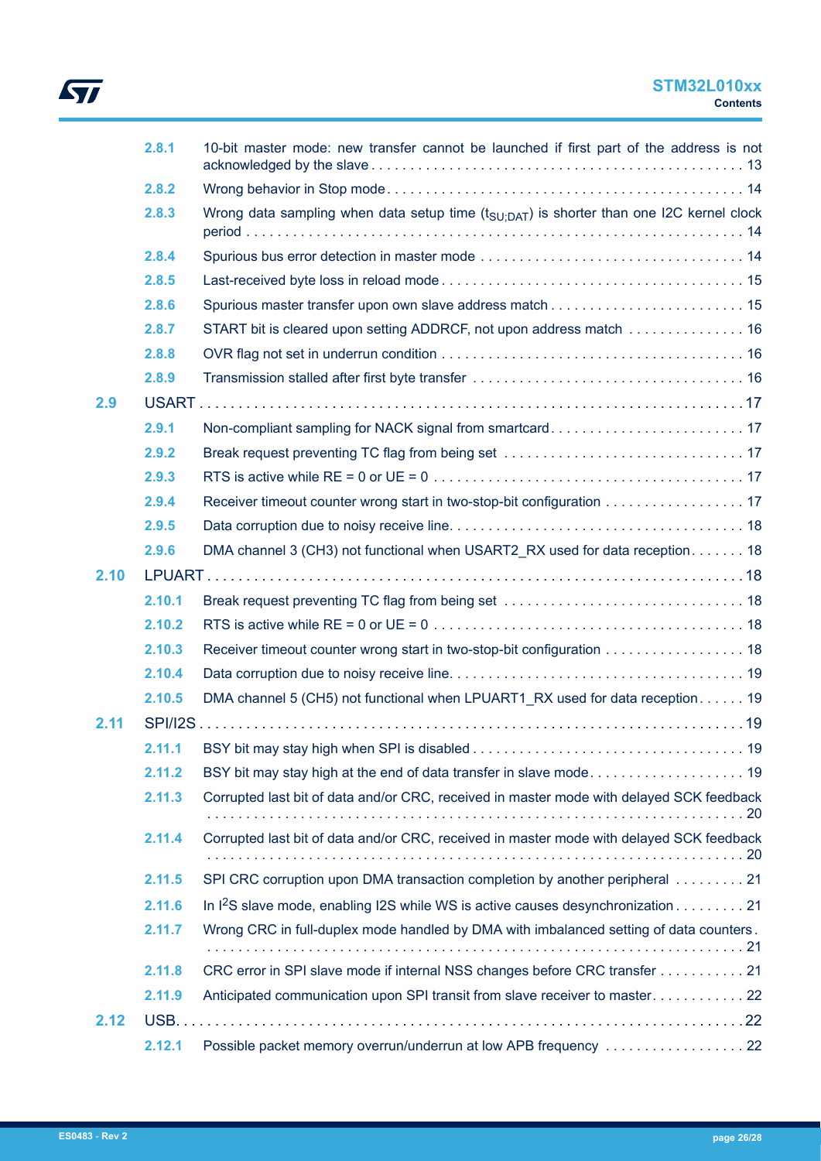# $\sqrt{2}$

# **STM32L010xx Contents**

|      | 2.8.1  | 10-bit master mode: new transfer cannot be launched if first part of the address is not             |
|------|--------|-----------------------------------------------------------------------------------------------------|
|      | 2.8.2  |                                                                                                     |
|      | 2.8.3  | Wrong data sampling when data setup time $(t_{\text{SU:DAT}})$ is shorter than one I2C kernel clock |
|      | 2.8.4  |                                                                                                     |
|      | 2.8.5  |                                                                                                     |
|      | 2.8.6  |                                                                                                     |
|      | 2.8.7  | START bit is cleared upon setting ADDRCF, not upon address match  16                                |
|      | 2.8.8  |                                                                                                     |
|      | 2.8.9  |                                                                                                     |
| 2.9  |        |                                                                                                     |
|      | 2.9.1  | Non-compliant sampling for NACK signal from smartcard 17                                            |
|      | 2.9.2  |                                                                                                     |
|      | 2.9.3  |                                                                                                     |
|      | 2.9.4  | Receiver timeout counter wrong start in two-stop-bit configuration 17                               |
|      | 2.9.5  |                                                                                                     |
|      | 2.9.6  | DMA channel 3 (CH3) not functional when USART2 RX used for data reception 18                        |
| 2.10 |        |                                                                                                     |
|      | 2.10.1 |                                                                                                     |
|      | 2.10.2 |                                                                                                     |
|      | 2.10.3 | Receiver timeout counter wrong start in two-stop-bit configuration 18                               |
|      | 2.10.4 |                                                                                                     |
|      | 2.10.5 | DMA channel 5 (CH5) not functional when LPUART1_RX used for data reception 19                       |
| 2.11 |        |                                                                                                     |
|      | 2.11.1 |                                                                                                     |
|      | 2.11.2 |                                                                                                     |
|      | 2.11.3 | Corrupted last bit of data and/or CRC, received in master mode with delayed SCK feedback            |
|      | 2.11.4 | Corrupted last bit of data and/or CRC, received in master mode with delayed SCK feedback            |
|      | 2.11.5 | SPI CRC corruption upon DMA transaction completion by another peripheral 21                         |
|      | 2.11.6 | In I <sup>2</sup> S slave mode, enabling I2S while WS is active causes desynchronization 21         |
|      | 2.11.7 | Wrong CRC in full-duplex mode handled by DMA with imbalanced setting of data counters.              |
|      | 2.11.8 | CRC error in SPI slave mode if internal NSS changes before CRC transfer 21                          |
|      | 2.11.9 | Anticipated communication upon SPI transit from slave receiver to master22                          |
| 2.12 |        |                                                                                                     |
|      | 2.12.1 | Possible packet memory overrun/underrun at low APB frequency 22                                     |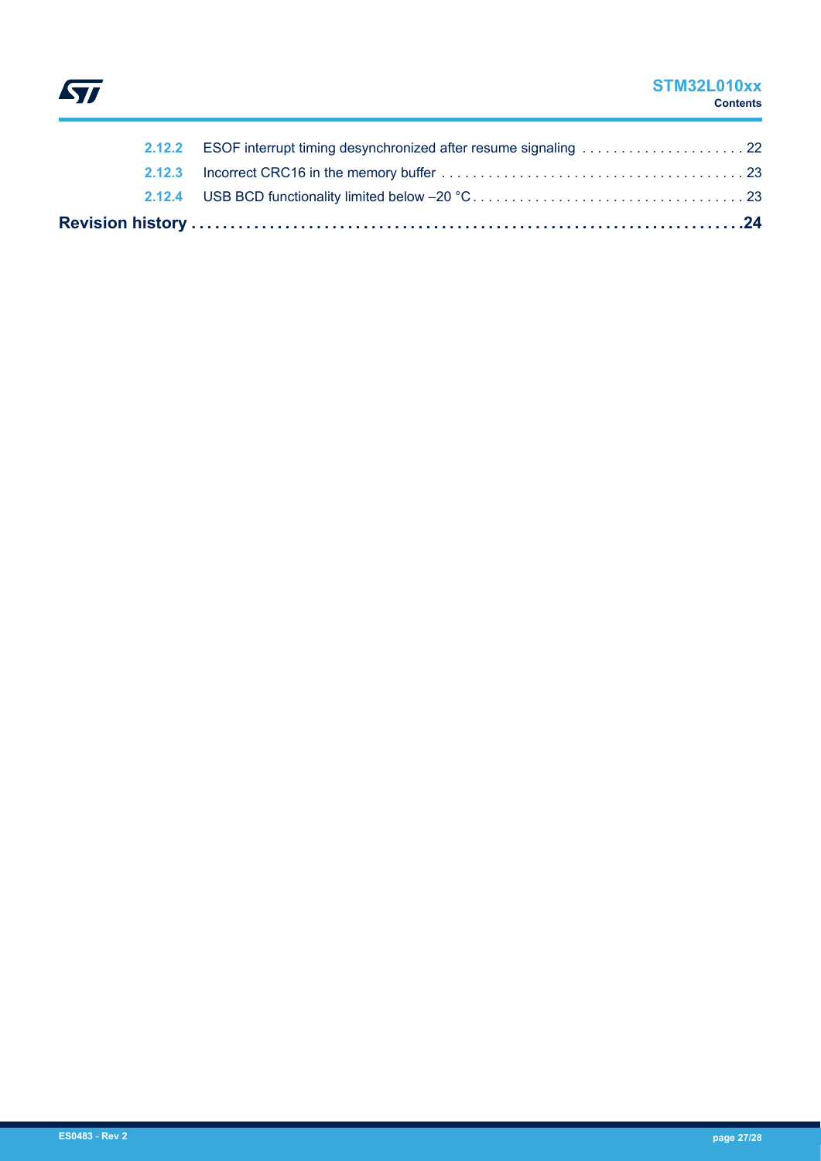

# **STM32L010xx Contents**